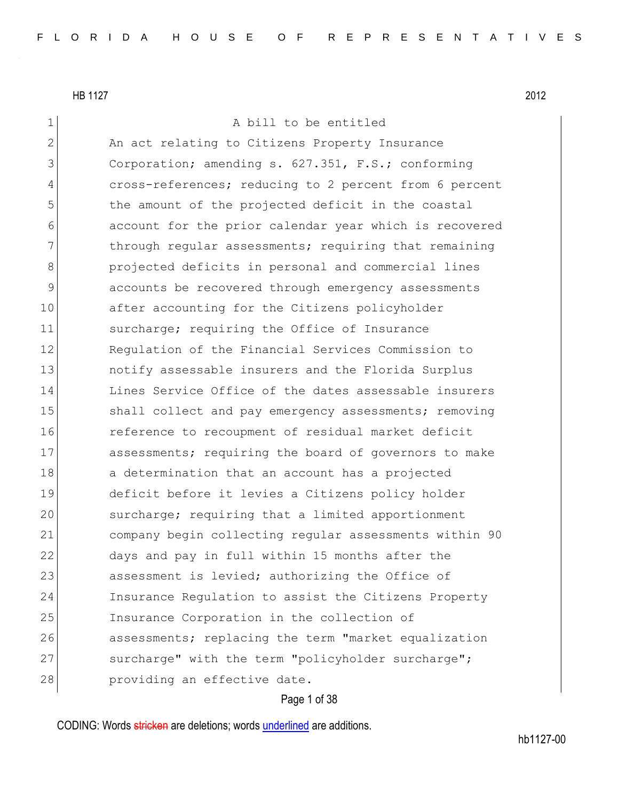| $\mathbf 1$  | A bill to be entitled                                  |
|--------------|--------------------------------------------------------|
| $\mathbf{2}$ | An act relating to Citizens Property Insurance         |
| 3            | Corporation; amending s. 627.351, F.S.; conforming     |
| 4            | cross-references; reducing to 2 percent from 6 percent |
| 5            | the amount of the projected deficit in the coastal     |
| 6            | account for the prior calendar year which is recovered |
| 7            | through regular assessments; requiring that remaining  |
| 8            | projected deficits in personal and commercial lines    |
| 9            | accounts be recovered through emergency assessments    |
| 10           | after accounting for the Citizens policyholder         |
| 11           | surcharge; requiring the Office of Insurance           |
| 12           | Requlation of the Financial Services Commission to     |
| 13           | notify assessable insurers and the Florida Surplus     |
| 14           | Lines Service Office of the dates assessable insurers  |
| 15           | shall collect and pay emergency assessments; removing  |
| 16           | reference to recoupment of residual market deficit     |
| 17           | assessments; requiring the board of governors to make  |
| 18           | a determination that an account has a projected        |
| 19           | deficit before it levies a Citizens policy holder      |
| 20           | surcharge; requiring that a limited apportionment      |
| 21           | company begin collecting regular assessments within 90 |
| 22           | days and pay in full within 15 months after the        |
| 23           | assessment is levied; authorizing the Office of        |
| 24           | Insurance Regulation to assist the Citizens Property   |
| 25           | Insurance Corporation in the collection of             |
| 26           | assessments; replacing the term "market equalization   |
| 27           | surcharge" with the term "policyholder surcharge";     |
| 28           | providing an effective date.                           |
|              |                                                        |

# Page 1 of 38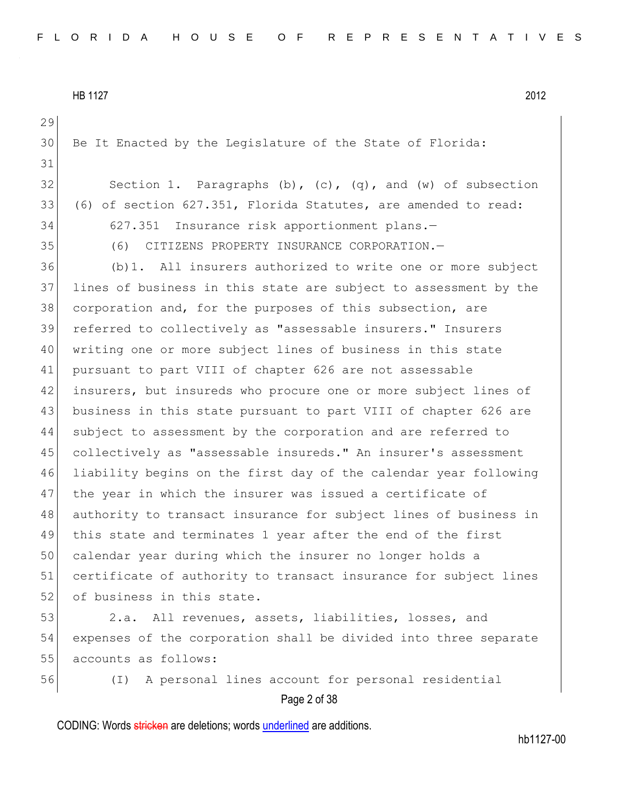```
HB 1127 2012
```
Page 2 of 38 Be It Enacted by the Legislature of the State of Florida: 32 Section 1. Paragraphs  $(b)$ ,  $(c)$ ,  $(q)$ , and  $(w)$  of subsection (6) of section 627.351, Florida Statutes, are amended to read: 627.351 Insurance risk apportionment plans.— (6) CITIZENS PROPERTY INSURANCE CORPORATION.— (b)1. All insurers authorized to write one or more subject lines of business in this state are subject to assessment by the 38 corporation and, for the purposes of this subsection, are referred to collectively as "assessable insurers." Insurers writing one or more subject lines of business in this state pursuant to part VIII of chapter 626 are not assessable insurers, but insureds who procure one or more subject lines of 43 business in this state pursuant to part VIII of chapter 626 are subject to assessment by the corporation and are referred to collectively as "assessable insureds." An insurer's assessment liability begins on the first day of the calendar year following 47 | the year in which the insurer was issued a certificate of authority to transact insurance for subject lines of business in this state and terminates 1 year after the end of the first calendar year during which the insurer no longer holds a 51 certificate of authority to transact insurance for subject lines 52 of business in this state. 2.a. All revenues, assets, liabilities, losses, and expenses of the corporation shall be divided into three separate 55 accounts as follows: (I) A personal lines account for personal residential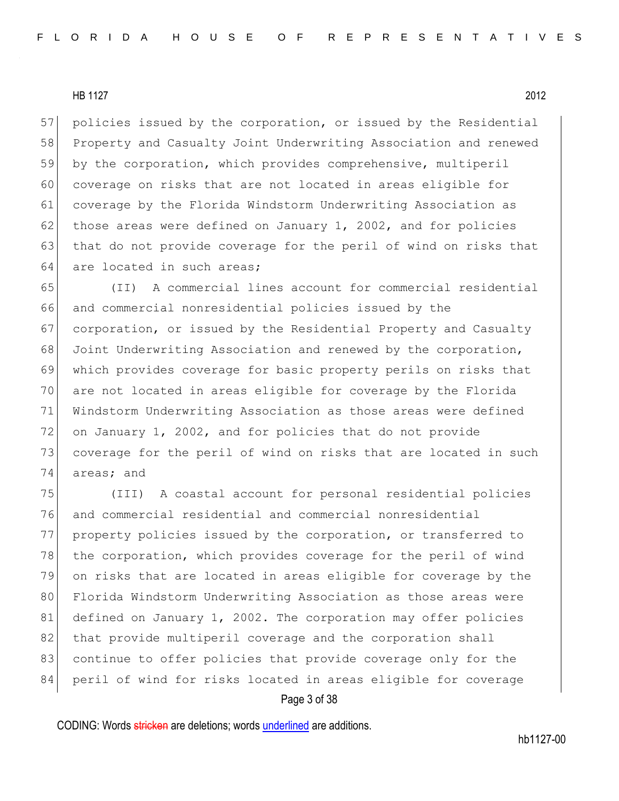57 policies issued by the corporation, or issued by the Residential 58 Property and Casualty Joint Underwriting Association and renewed 59 by the corporation, which provides comprehensive, multiperil 60 coverage on risks that are not located in areas eligible for 61 coverage by the Florida Windstorm Underwriting Association as 62 those areas were defined on January 1, 2002, and for policies 63 that do not provide coverage for the peril of wind on risks that 64 are located in such areas;

 (II) A commercial lines account for commercial residential and commercial nonresidential policies issued by the corporation, or issued by the Residential Property and Casualty Joint Underwriting Association and renewed by the corporation, which provides coverage for basic property perils on risks that are not located in areas eligible for coverage by the Florida Windstorm Underwriting Association as those areas were defined on January 1, 2002, and for policies that do not provide coverage for the peril of wind on risks that are located in such areas; and

75 (III) A coastal account for personal residential policies 76 and commercial residential and commercial nonresidential 77 property policies issued by the corporation, or transferred to 78 the corporation, which provides coverage for the peril of wind 79 on risks that are located in areas eligible for coverage by the 80 Florida Windstorm Underwriting Association as those areas were 81 defined on January 1, 2002. The corporation may offer policies 82 that provide multiperil coverage and the corporation shall 83 continue to offer policies that provide coverage only for the 84 peril of wind for risks located in areas eligible for coverage

#### Page 3 of 38

CODING: Words stricken are deletions; words underlined are additions.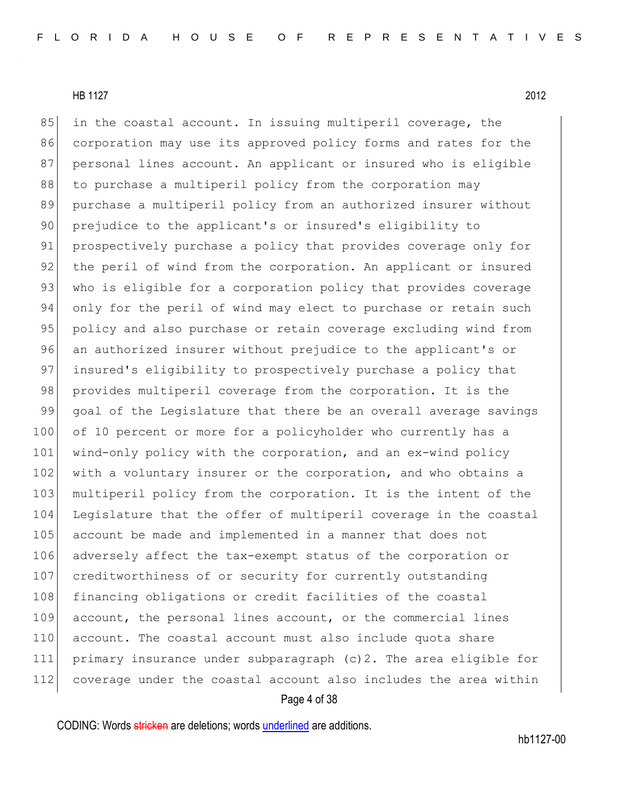85 in the coastal account. In issuing multiperil coverage, the 86 corporation may use its approved policy forms and rates for the 87 personal lines account. An applicant or insured who is eligible 88 to purchase a multiperil policy from the corporation may 89 purchase a multiperil policy from an authorized insurer without 90 prejudice to the applicant's or insured's eligibility to 91 prospectively purchase a policy that provides coverage only for 92 the peril of wind from the corporation. An applicant or insured 93 who is eligible for a corporation policy that provides coverage 94 only for the peril of wind may elect to purchase or retain such 95 policy and also purchase or retain coverage excluding wind from 96 an authorized insurer without prejudice to the applicant's or 97 insured's eligibility to prospectively purchase a policy that 98 provides multiperil coverage from the corporation. It is the 99 goal of the Legislature that there be an overall average savings 100 of 10 percent or more for a policyholder who currently has a 101 wind-only policy with the corporation, and an ex-wind policy 102 with a voluntary insurer or the corporation, and who obtains a 103 multiperil policy from the corporation. It is the intent of the 104 Legislature that the offer of multiperil coverage in the coastal 105 account be made and implemented in a manner that does not 106 adversely affect the tax-exempt status of the corporation or 107 creditworthiness of or security for currently outstanding 108 financing obligations or credit facilities of the coastal 109 account, the personal lines account, or the commercial lines 110 account. The coastal account must also include quota share 111 primary insurance under subparagraph (c)2. The area eligible for 112 coverage under the coastal account also includes the area within

Page 4 of 38

CODING: Words stricken are deletions; words underlined are additions.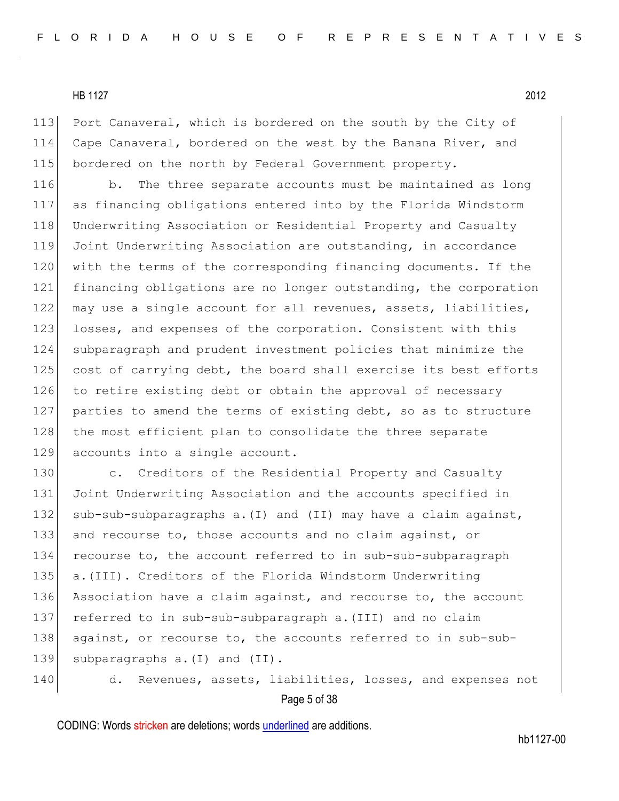113 Port Canaveral, which is bordered on the south by the City of 114 Cape Canaveral, bordered on the west by the Banana River, and 115 bordered on the north by Federal Government property.

116 b. The three separate accounts must be maintained as long 117 as financing obligations entered into by the Florida Windstorm 118 Underwriting Association or Residential Property and Casualty 119 Joint Underwriting Association are outstanding, in accordance 120 with the terms of the corresponding financing documents. If the 121 financing obligations are no longer outstanding, the corporation 122 may use a single account for all revenues, assets, liabilities, 123 losses, and expenses of the corporation. Consistent with this 124 subparagraph and prudent investment policies that minimize the 125 cost of carrying debt, the board shall exercise its best efforts 126 to retire existing debt or obtain the approval of necessary 127 parties to amend the terms of existing debt, so as to structure 128 the most efficient plan to consolidate the three separate 129 accounts into a single account.

130 c. Creditors of the Residential Property and Casualty 131 Joint Underwriting Association and the accounts specified in 132 sub-sub-subparagraphs a. (I) and (II) may have a claim against, 133 and recourse to, those accounts and no claim against, or 134 recourse to, the account referred to in sub-sub-subparagraph 135 a.(III). Creditors of the Florida Windstorm Underwriting 136 Association have a claim against, and recourse to, the account 137 referred to in sub-sub-subparagraph a.(III) and no claim 138 against, or recourse to, the accounts referred to in sub-sub-139 subparagraphs a. (I) and (II).

Page 5 of 38 140 d. Revenues, assets, liabilities, losses, and expenses not

CODING: Words stricken are deletions; words underlined are additions.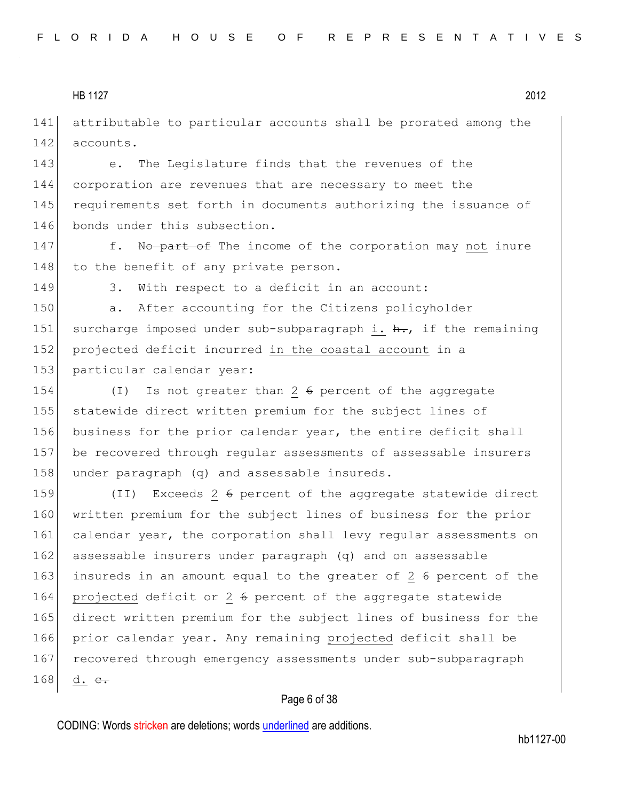141 attributable to particular accounts shall be prorated among the 142 accounts.

143 e. The Legislature finds that the revenues of the 144 corporation are revenues that are necessary to meet the 145 requirements set forth in documents authorizing the issuance of 146 bonds under this subsection.

147 f. No part of The income of the corporation may not inure 148 to the benefit of any private person.

149 3. With respect to a deficit in an account:

150 a. After accounting for the Citizens policyholder 151 surcharge imposed under sub-subparagraph i.  $h_{\tau}$ , if the remaining 152 projected deficit incurred in the coastal account in a 153 particular calendar year:

154 (I) Is not greater than 2 6 percent of the aggregate 155 statewide direct written premium for the subject lines of 156 business for the prior calendar year, the entire deficit shall 157 be recovered through regular assessments of assessable insurers 158 under paragraph (q) and assessable insureds.

159 (II) Exceeds 2 6 percent of the aggregate statewide direct 160 written premium for the subject lines of business for the prior 161 calendar year, the corporation shall levy regular assessments on 162 assessable insurers under paragraph (q) and on assessable 163 insureds in an amount equal to the greater of 2  $6$  percent of the 164 projected deficit or 2 6 percent of the aggregate statewide 165 direct written premium for the subject lines of business for the 166 prior calendar year. Any remaining projected deficit shall be 167 recovered through emergency assessments under sub-subparagraph 168 d.  $e_{\tau}$ 

#### Page 6 of 38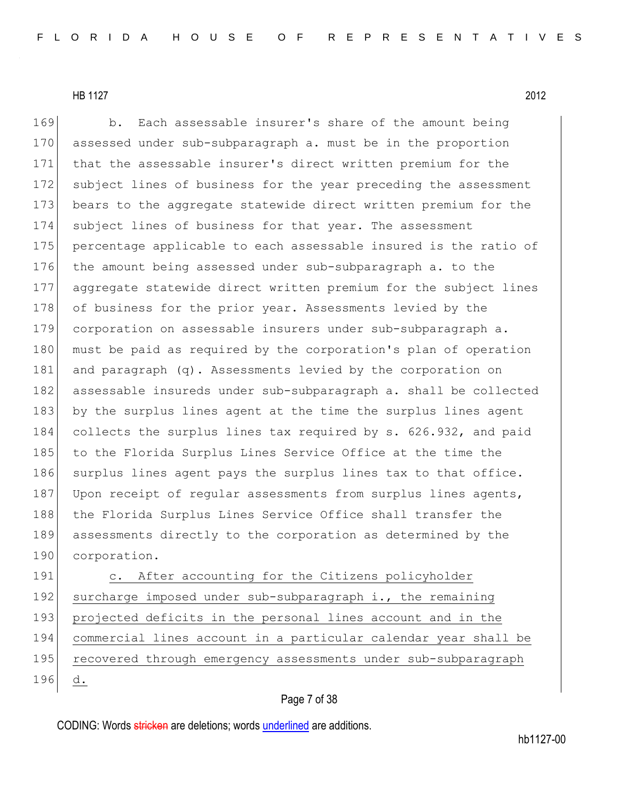169 b. Each assessable insurer's share of the amount being 170 assessed under sub-subparagraph a. must be in the proportion 171 that the assessable insurer's direct written premium for the 172 subject lines of business for the year preceding the assessment 173 bears to the aggregate statewide direct written premium for the 174 subject lines of business for that year. The assessment 175 percentage applicable to each assessable insured is the ratio of 176 the amount being assessed under sub-subparagraph a. to the 177 aggregate statewide direct written premium for the subject lines 178 of business for the prior year. Assessments levied by the 179 corporation on assessable insurers under sub-subparagraph a. 180 must be paid as required by the corporation's plan of operation 181 and paragraph (q). Assessments levied by the corporation on 182 assessable insureds under sub-subparagraph a. shall be collected 183 by the surplus lines agent at the time the surplus lines agent 184 collects the surplus lines tax required by s. 626.932, and paid 185 to the Florida Surplus Lines Service Office at the time the 186 surplus lines agent pays the surplus lines tax to that office. 187 Upon receipt of regular assessments from surplus lines agents, 188 | the Florida Surplus Lines Service Office shall transfer the 189 assessments directly to the corporation as determined by the 190 corporation.

191 c. After accounting for the Citizens policyholder 192 surcharge imposed under sub-subparagraph i., the remaining 193 projected deficits in the personal lines account and in the 194 commercial lines account in a particular calendar year shall be 195 recovered through emergency assessments under sub-subparagraph 196 d.

#### Page 7 of 38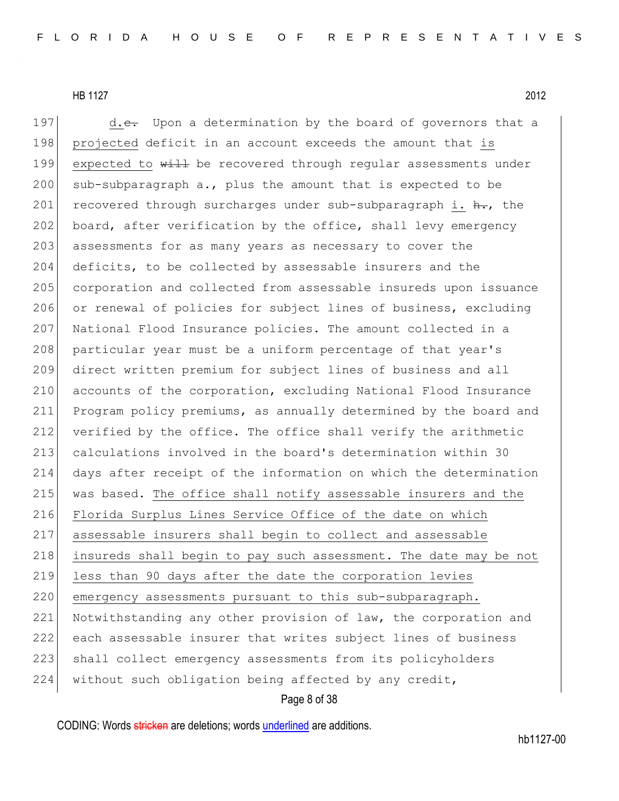197  $d.e.$  Upon a determination by the board of governors that a 198 projected deficit in an account exceeds the amount that is 199 expected to  $\frac{11}{2}$  be recovered through regular assessments under 200 sub-subparagraph a., plus the amount that is expected to be 201 recovered through surcharges under sub-subparagraph i.  $\frac{h}{h}$ , the 202 board, after verification by the office, shall levy emergency 203 assessments for as many years as necessary to cover the 204 deficits, to be collected by assessable insurers and the 205 corporation and collected from assessable insureds upon issuance 206 or renewal of policies for subject lines of business, excluding 207 National Flood Insurance policies. The amount collected in a 208 particular year must be a uniform percentage of that year's 209 direct written premium for subject lines of business and all 210 accounts of the corporation, excluding National Flood Insurance 211 Program policy premiums, as annually determined by the board and 212 verified by the office. The office shall verify the arithmetic 213 calculations involved in the board's determination within 30 214 days after receipt of the information on which the determination 215 was based. The office shall notify assessable insurers and the 216 Florida Surplus Lines Service Office of the date on which 217 assessable insurers shall begin to collect and assessable 218 insureds shall begin to pay such assessment. The date may be not 219 less than 90 days after the date the corporation levies 220 emergency assessments pursuant to this sub-subparagraph. 221 Notwithstanding any other provision of law, the corporation and 222 each assessable insurer that writes subject lines of business 223 shall collect emergency assessments from its policyholders 224 without such obligation being affected by any credit,

#### Page 8 of 38

CODING: Words stricken are deletions; words underlined are additions.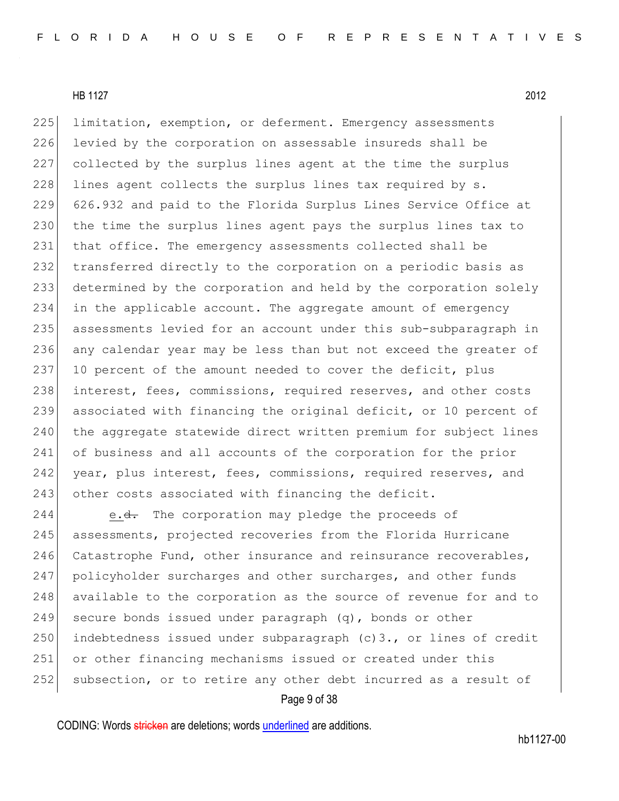225 limitation, exemption, or deferment. Emergency assessments 226 levied by the corporation on assessable insureds shall be 227 collected by the surplus lines agent at the time the surplus  $228$  lines agent collects the surplus lines tax required by s. 229 626.932 and paid to the Florida Surplus Lines Service Office at 230 the time the surplus lines agent pays the surplus lines tax to 231 that office. The emergency assessments collected shall be 232 transferred directly to the corporation on a periodic basis as 233 determined by the corporation and held by the corporation solely 234 in the applicable account. The aggregate amount of emergency 235 assessments levied for an account under this sub-subparagraph in 236 any calendar year may be less than but not exceed the greater of 237 10 percent of the amount needed to cover the deficit, plus 238 interest, fees, commissions, required reserves, and other costs 239 associated with financing the original deficit, or 10 percent of 240 the aggregate statewide direct written premium for subject lines 241 of business and all accounts of the corporation for the prior 242 year, plus interest, fees, commissions, required reserves, and 243 other costs associated with financing the deficit.

244 e.<del>d.</del> The corporation may pledge the proceeds of 245 assessments, projected recoveries from the Florida Hurricane 246 Catastrophe Fund, other insurance and reinsurance recoverables, 247 policyholder surcharges and other surcharges, and other funds 248 available to the corporation as the source of revenue for and to 249 secure bonds issued under paragraph  $(q)$ , bonds or other 250 indebtedness issued under subparagraph  $(c)$ 3., or lines of credit 251 or other financing mechanisms issued or created under this 252 subsection, or to retire any other debt incurred as a result of

Page 9 of 38

CODING: Words stricken are deletions; words underlined are additions.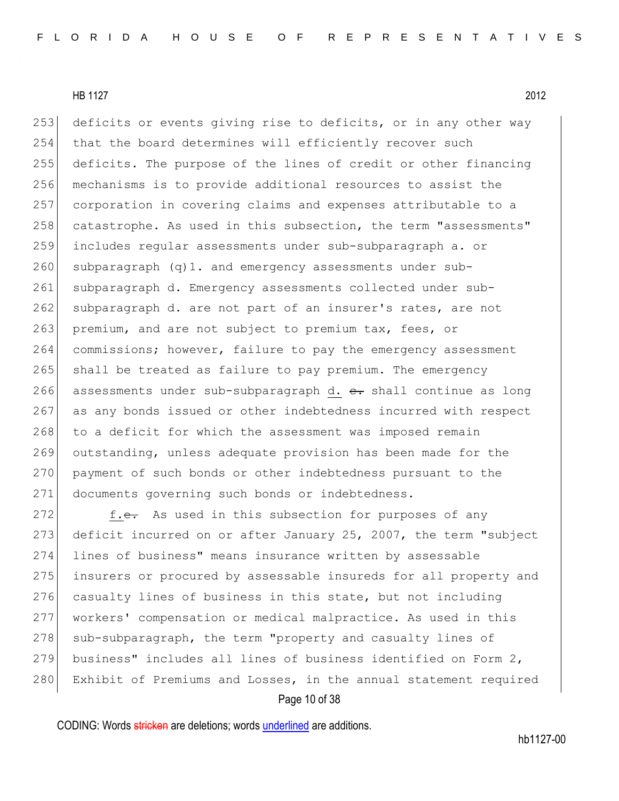253 deficits or events giving rise to deficits, or in any other way 254 that the board determines will efficiently recover such 255 deficits. The purpose of the lines of credit or other financing 256 mechanisms is to provide additional resources to assist the 257 corporation in covering claims and expenses attributable to a 258 catastrophe. As used in this subsection, the term "assessments" 259 includes regular assessments under sub-subparagraph a. or  $260$  subparagraph (q)1. and emergency assessments under sub-261 subparagraph d. Emergency assessments collected under sub-262 subparagraph d. are not part of an insurer's rates, are not 263 premium, and are not subject to premium tax, fees, or 264 commissions; however, failure to pay the emergency assessment 265 shall be treated as failure to pay premium. The emergency 266 assessments under sub-subparagraph d.  $e$ . shall continue as long 267 as any bonds issued or other indebtedness incurred with respect 268 to a deficit for which the assessment was imposed remain 269 outstanding, unless adequate provision has been made for the 270 payment of such bonds or other indebtedness pursuant to the 271 documents governing such bonds or indebtedness.

272 f.e. As used in this subsection for purposes of any 273 deficit incurred on or after January 25, 2007, the term "subject 274 lines of business" means insurance written by assessable 275 insurers or procured by assessable insureds for all property and 276 casualty lines of business in this state, but not including 277 workers' compensation or medical malpractice. As used in this 278 sub-subparagraph, the term "property and casualty lines of 279 business" includes all lines of business identified on Form 2, 280 Exhibit of Premiums and Losses, in the annual statement required

Page 10 of 38

CODING: Words stricken are deletions; words underlined are additions.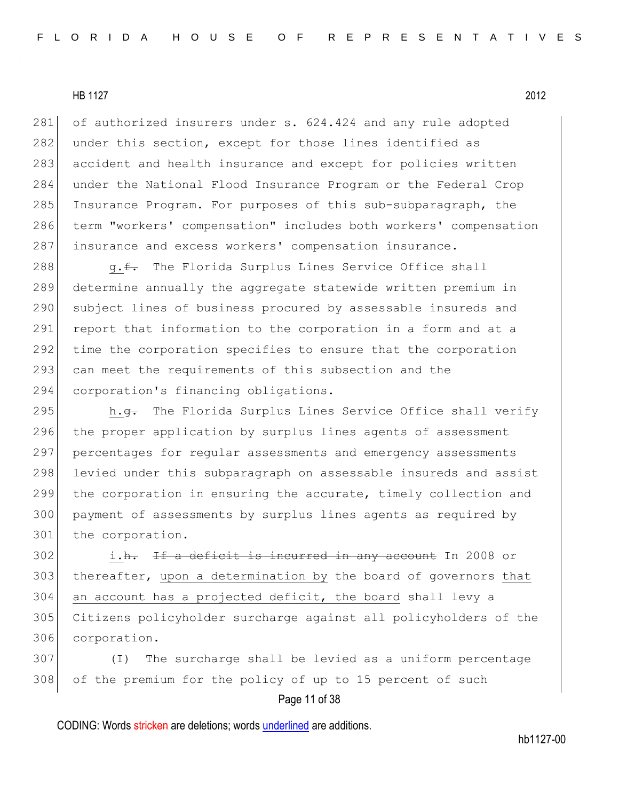281 of authorized insurers under s. 624.424 and any rule adopted 282 under this section, except for those lines identified as 283 accident and health insurance and except for policies written 284 under the National Flood Insurance Program or the Federal Crop 285 Insurance Program. For purposes of this sub-subparagraph, the 286 term "workers' compensation" includes both workers' compensation 287 insurance and excess workers' compensation insurance.

288 g.f. The Florida Surplus Lines Service Office shall 289 determine annually the aggregate statewide written premium in 290 subject lines of business procured by assessable insureds and 291 report that information to the corporation in a form and at a 292 time the corporation specifies to ensure that the corporation 293 can meet the requirements of this subsection and the 294 corporation's financing obligations.

295 h.g. The Florida Surplus Lines Service Office shall verify 296 the proper application by surplus lines agents of assessment 297 percentages for regular assessments and emergency assessments 298 levied under this subparagraph on assessable insureds and assist 299 the corporation in ensuring the accurate, timely collection and 300 payment of assessments by surplus lines agents as required by 301 the corporation.

 i.h. If a deficit is incurred in any account In 2008 or 303 | thereafter, upon a determination by the board of governors that an account has a projected deficit, the board shall levy a Citizens policyholder surcharge against all policyholders of the corporation.

307 (I) The surcharge shall be levied as a uniform percentage 308 of the premium for the policy of up to 15 percent of such

Page 11 of 38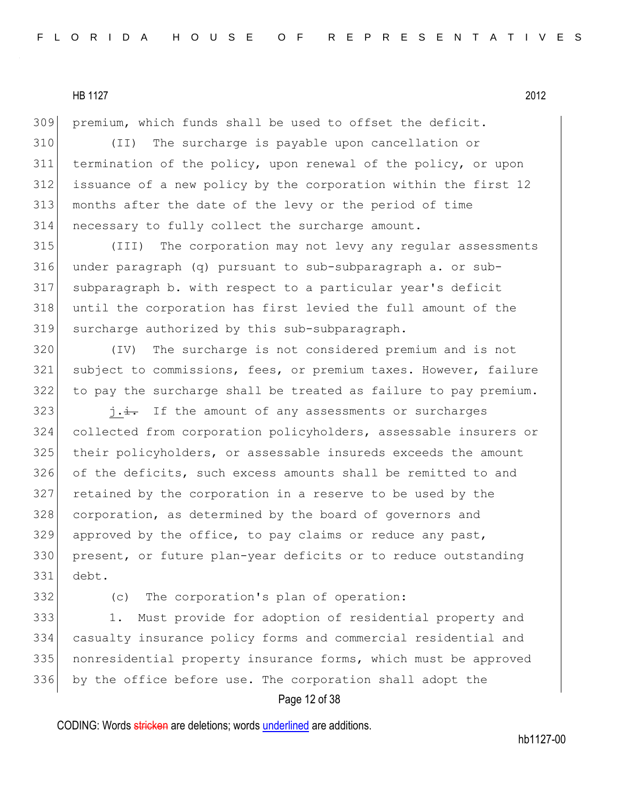premium, which funds shall be used to offset the deficit.

 (II) The surcharge is payable upon cancellation or termination of the policy, upon renewal of the policy, or upon issuance of a new policy by the corporation within the first 12 months after the date of the levy or the period of time necessary to fully collect the surcharge amount.

 (III) The corporation may not levy any regular assessments under paragraph (q) pursuant to sub-subparagraph a. or sub- subparagraph b. with respect to a particular year's deficit until the corporation has first levied the full amount of the surcharge authorized by this sub-subparagraph.

 (IV) The surcharge is not considered premium and is not subject to commissions, fees, or premium taxes. However, failure to pay the surcharge shall be treated as failure to pay premium.

 j.i. If the amount of any assessments or surcharges collected from corporation policyholders, assessable insurers or their policyholders, or assessable insureds exceeds the amount of the deficits, such excess amounts shall be remitted to and retained by the corporation in a reserve to be used by the 328 corporation, as determined by the board of governors and approved by the office, to pay claims or reduce any past, present, or future plan-year deficits or to reduce outstanding debt.

332 (c) The corporation's plan of operation:

333 1. Must provide for adoption of residential property and casualty insurance policy forms and commercial residential and nonresidential property insurance forms, which must be approved by the office before use. The corporation shall adopt the

## Page 12 of 38

CODING: Words stricken are deletions; words underlined are additions.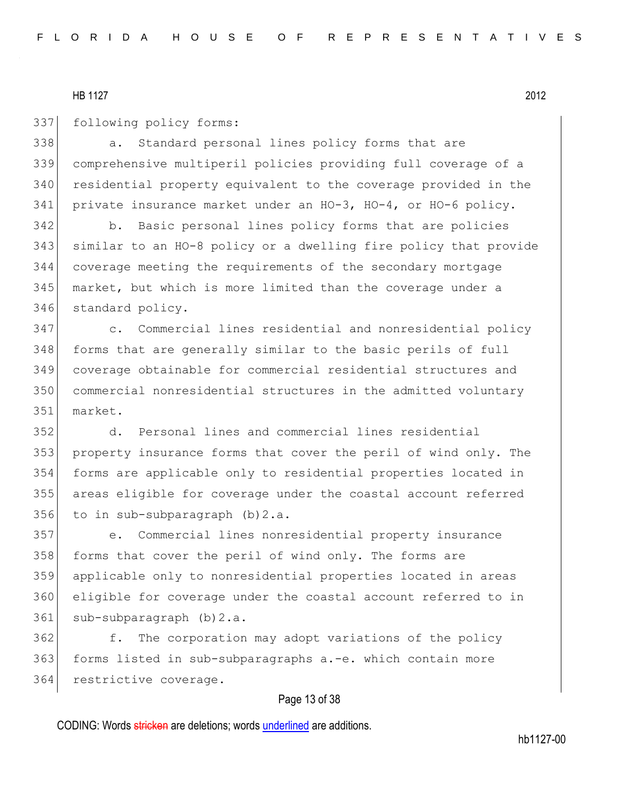337 following policy forms:

338 a. Standard personal lines policy forms that are comprehensive multiperil policies providing full coverage of a 340 residential property equivalent to the coverage provided in the private insurance market under an HO-3, HO-4, or HO-6 policy.

 b. Basic personal lines policy forms that are policies similar to an HO-8 policy or a dwelling fire policy that provide coverage meeting the requirements of the secondary mortgage market, but which is more limited than the coverage under a 346 standard policy.

 c. Commercial lines residential and nonresidential policy 348 forms that are generally similar to the basic perils of full coverage obtainable for commercial residential structures and commercial nonresidential structures in the admitted voluntary market.

 d. Personal lines and commercial lines residential property insurance forms that cover the peril of wind only. The forms are applicable only to residential properties located in areas eligible for coverage under the coastal account referred to in sub-subparagraph (b)2.a.

 e. Commercial lines nonresidential property insurance 358 forms that cover the peril of wind only. The forms are applicable only to nonresidential properties located in areas eligible for coverage under the coastal account referred to in 361 sub-subparagraph (b) 2.a.

 f. The corporation may adopt variations of the policy forms listed in sub-subparagraphs a.-e. which contain more 364 restrictive coverage.

#### Page 13 of 38

CODING: Words stricken are deletions; words underlined are additions.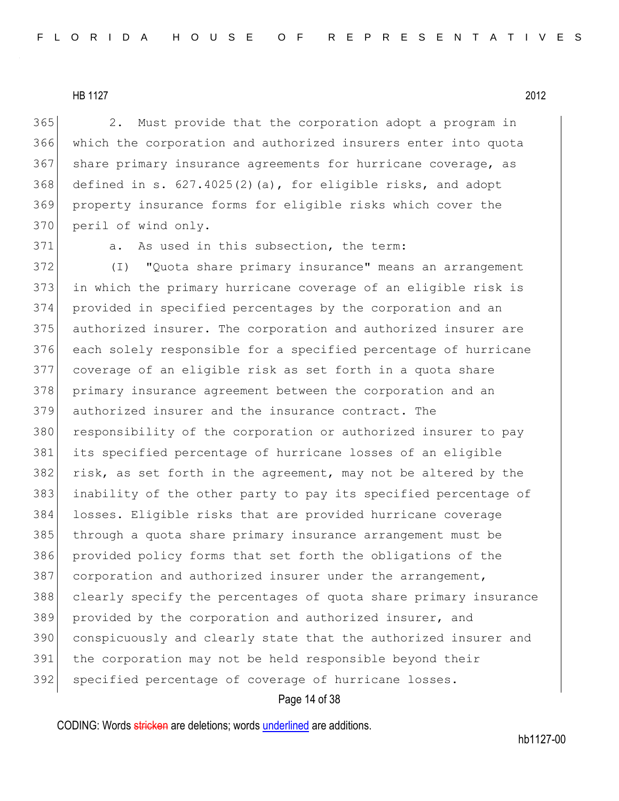365 2. Must provide that the corporation adopt a program in 366 which the corporation and authorized insurers enter into quota 367 share primary insurance agreements for hurricane coverage, as 368 defined in s.  $627.4025(2)(a)$ , for eligible risks, and adopt 369 property insurance forms for eligible risks which cover the 370 peril of wind only.

371 a. As used in this subsection, the term:

372 (I) "Quota share primary insurance" means an arrangement in which the primary hurricane coverage of an eligible risk is provided in specified percentages by the corporation and an authorized insurer. The corporation and authorized insurer are each solely responsible for a specified percentage of hurricane coverage of an eligible risk as set forth in a quota share primary insurance agreement between the corporation and an authorized insurer and the insurance contract. The 380 responsibility of the corporation or authorized insurer to pay its specified percentage of hurricane losses of an eligible 382 risk, as set forth in the agreement, may not be altered by the inability of the other party to pay its specified percentage of losses. Eligible risks that are provided hurricane coverage 385 through a quota share primary insurance arrangement must be provided policy forms that set forth the obligations of the 387 corporation and authorized insurer under the arrangement, clearly specify the percentages of quota share primary insurance 389 provided by the corporation and authorized insurer, and conspicuously and clearly state that the authorized insurer and the corporation may not be held responsible beyond their 392 specified percentage of coverage of hurricane losses.

#### Page 14 of 38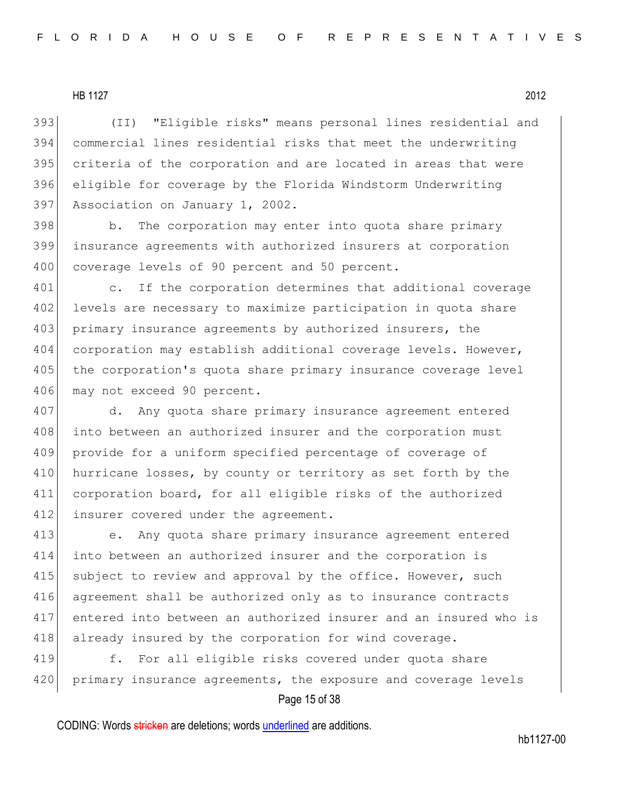(II) "Eligible risks" means personal lines residential and commercial lines residential risks that meet the underwriting 395 criteria of the corporation and are located in areas that were eligible for coverage by the Florida Windstorm Underwriting Association on January 1, 2002.

398 b. The corporation may enter into quota share primary 399 insurance agreements with authorized insurers at corporation 400 coverage levels of 90 percent and 50 percent.

401 c. If the corporation determines that additional coverage 402 levels are necessary to maximize participation in quota share 403 primary insurance agreements by authorized insurers, the 404 corporation may establish additional coverage levels. However, 405 the corporation's quota share primary insurance coverage level 406 may not exceed 90 percent.

407 d. Any quota share primary insurance agreement entered 408 into between an authorized insurer and the corporation must 409 provide for a uniform specified percentage of coverage of 410 hurricane losses, by county or territory as set forth by the 411 corporation board, for all eligible risks of the authorized 412 insurer covered under the agreement.

 e. Any quota share primary insurance agreement entered into between an authorized insurer and the corporation is 415 subject to review and approval by the office. However, such agreement shall be authorized only as to insurance contracts entered into between an authorized insurer and an insured who is 418 already insured by the corporation for wind coverage.

419 f. For all eligible risks covered under quota share 420 primary insurance agreements, the exposure and coverage levels

## Page 15 of 38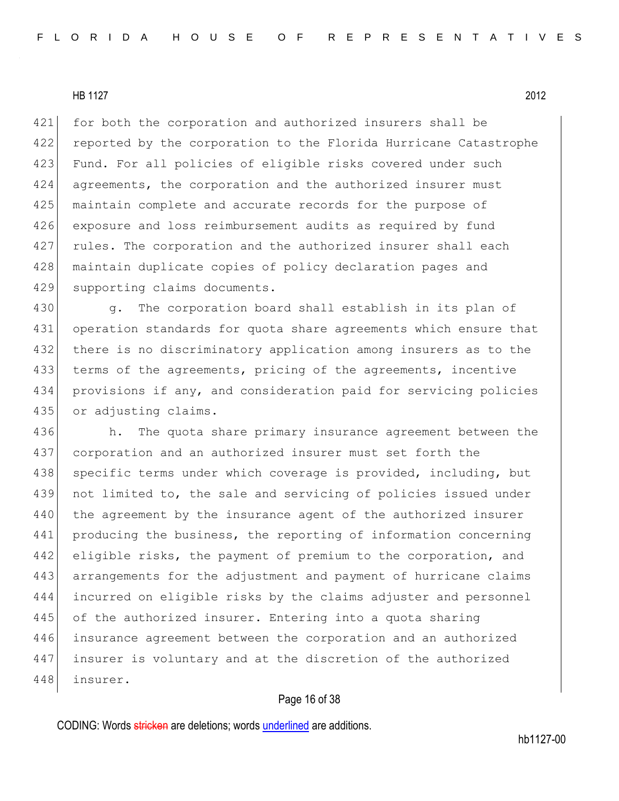421 for both the corporation and authorized insurers shall be 422 reported by the corporation to the Florida Hurricane Catastrophe 423 Fund. For all policies of eligible risks covered under such 424 agreements, the corporation and the authorized insurer must 425 maintain complete and accurate records for the purpose of 426 exposure and loss reimbursement audits as required by fund 427 rules. The corporation and the authorized insurer shall each 428 | maintain duplicate copies of policy declaration pages and 429 supporting claims documents.

430 g. The corporation board shall establish in its plan of 431 operation standards for quota share agreements which ensure that 432 there is no discriminatory application among insurers as to the 433 terms of the agreements, pricing of the agreements, incentive 434 provisions if any, and consideration paid for servicing policies 435 or adjusting claims.

436 h. The quota share primary insurance agreement between the 437 corporation and an authorized insurer must set forth the 438 specific terms under which coverage is provided, including, but 439 not limited to, the sale and servicing of policies issued under 440 the agreement by the insurance agent of the authorized insurer 441 producing the business, the reporting of information concerning 442 eligible risks, the payment of premium to the corporation, and 443 arrangements for the adjustment and payment of hurricane claims 444 incurred on eligible risks by the claims adjuster and personnel 445 of the authorized insurer. Entering into a quota sharing 446 insurance agreement between the corporation and an authorized 447 insurer is voluntary and at the discretion of the authorized 448 insurer.

#### Page 16 of 38

CODING: Words stricken are deletions; words underlined are additions.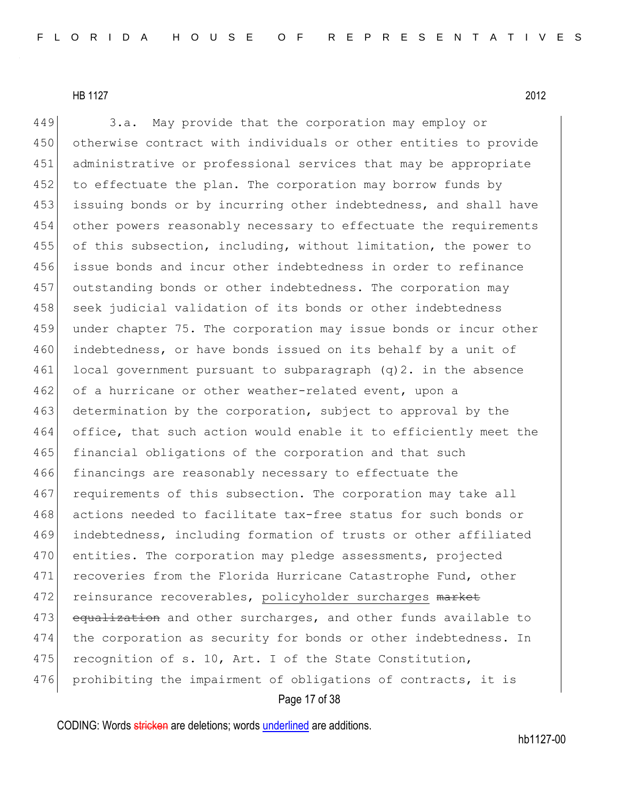449 3.a. May provide that the corporation may employ or 450 otherwise contract with individuals or other entities to provide 451 administrative or professional services that may be appropriate 452 to effectuate the plan. The corporation may borrow funds by 453 issuing bonds or by incurring other indebtedness, and shall have 454 other powers reasonably necessary to effectuate the requirements 455 of this subsection, including, without limitation, the power to 456 issue bonds and incur other indebtedness in order to refinance 457 outstanding bonds or other indebtedness. The corporation may 458 seek judicial validation of its bonds or other indebtedness 459 under chapter 75. The corporation may issue bonds or incur other 460 indebtedness, or have bonds issued on its behalf by a unit of  $461$  local government pursuant to subparagraph (q)2. in the absence 462 of a hurricane or other weather-related event, upon a 463 determination by the corporation, subject to approval by the 464 office, that such action would enable it to efficiently meet the 465 financial obligations of the corporation and that such 466 financings are reasonably necessary to effectuate the 467 requirements of this subsection. The corporation may take all 468 actions needed to facilitate tax-free status for such bonds or 469 indebtedness, including formation of trusts or other affiliated 470 entities. The corporation may pledge assessments, projected 471 recoveries from the Florida Hurricane Catastrophe Fund, other 472 reinsurance recoverables, policyholder surcharges market 473 equalization and other surcharges, and other funds available to 474 the corporation as security for bonds or other indebtedness. In 475 recognition of s. 10, Art. I of the State Constitution, 476 prohibiting the impairment of obligations of contracts, it is

Page 17 of 38

CODING: Words stricken are deletions; words underlined are additions.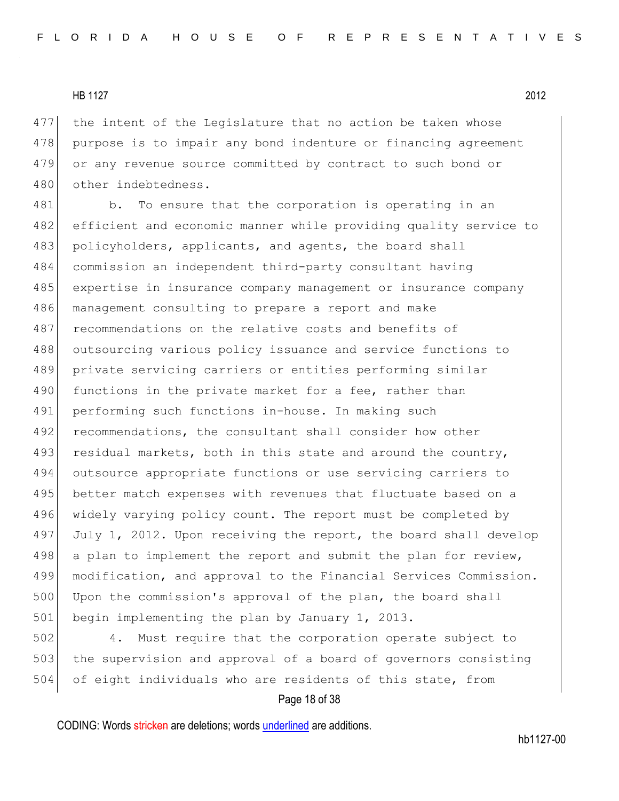477 the intent of the Legislature that no action be taken whose 478 purpose is to impair any bond indenture or financing agreement 479 or any revenue source committed by contract to such bond or 480 other indebtedness.

481 b. To ensure that the corporation is operating in an 482 efficient and economic manner while providing quality service to 483 policyholders, applicants, and agents, the board shall 484 commission an independent third-party consultant having 485 expertise in insurance company management or insurance company 486 management consulting to prepare a report and make 487 recommendations on the relative costs and benefits of 488 outsourcing various policy issuance and service functions to 489 private servicing carriers or entities performing similar 490 functions in the private market for a fee, rather than 491 performing such functions in-house. In making such 492 recommendations, the consultant shall consider how other 493 residual markets, both in this state and around the country, 494 outsource appropriate functions or use servicing carriers to 495 better match expenses with revenues that fluctuate based on a 496 widely varying policy count. The report must be completed by 497 July 1, 2012. Upon receiving the report, the board shall develop 498 a plan to implement the report and submit the plan for review, 499 modification, and approval to the Financial Services Commission. 500 Upon the commission's approval of the plan, the board shall 501 begin implementing the plan by January 1, 2013.

502 4. Must require that the corporation operate subject to 503 the supervision and approval of a board of governors consisting 504 of eight individuals who are residents of this state, from

#### Page 18 of 38

CODING: Words stricken are deletions; words underlined are additions.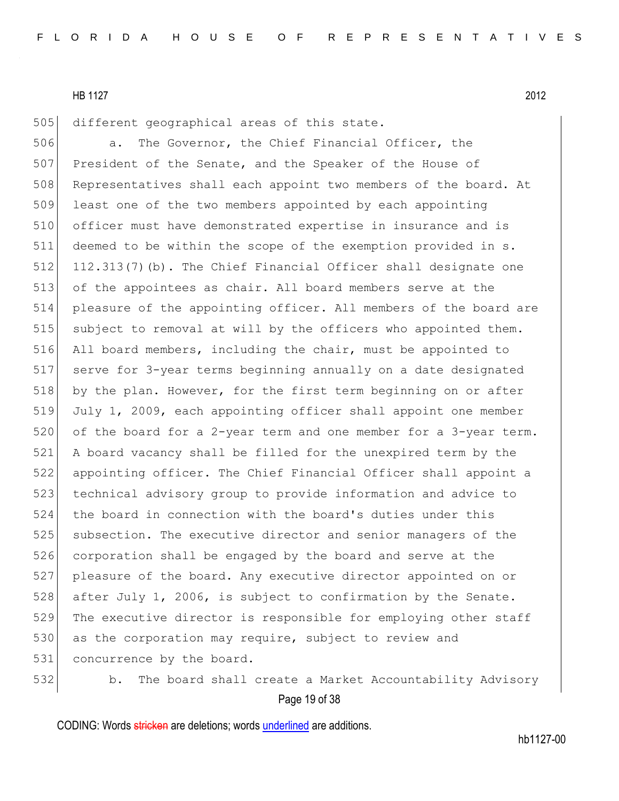505 different geographical areas of this state.

506 **a.** The Governor, the Chief Financial Officer, the 507 President of the Senate, and the Speaker of the House of 508 Representatives shall each appoint two members of the board. At 509 least one of the two members appointed by each appointing 510 officer must have demonstrated expertise in insurance and is 511 deemed to be within the scope of the exemption provided in s. 512 112.313(7)(b). The Chief Financial Officer shall designate one 513 of the appointees as chair. All board members serve at the 514 pleasure of the appointing officer. All members of the board are 515 subject to removal at will by the officers who appointed them. 516 All board members, including the chair, must be appointed to 517 serve for 3-year terms beginning annually on a date designated 518 by the plan. However, for the first term beginning on or after 519 July 1, 2009, each appointing officer shall appoint one member 520 of the board for a 2-year term and one member for a 3-year term. 521 A board vacancy shall be filled for the unexpired term by the 522 appointing officer. The Chief Financial Officer shall appoint a 523 technical advisory group to provide information and advice to 524 the board in connection with the board's duties under this 525 subsection. The executive director and senior managers of the 526 corporation shall be engaged by the board and serve at the 527 pleasure of the board. Any executive director appointed on or 528 after July 1, 2006, is subject to confirmation by the Senate. 529 The executive director is responsible for employing other staff 530 as the corporation may require, subject to review and 531 concurrence by the board.

532 b. The board shall create a Market Accountability Advisory

Page 19 of 38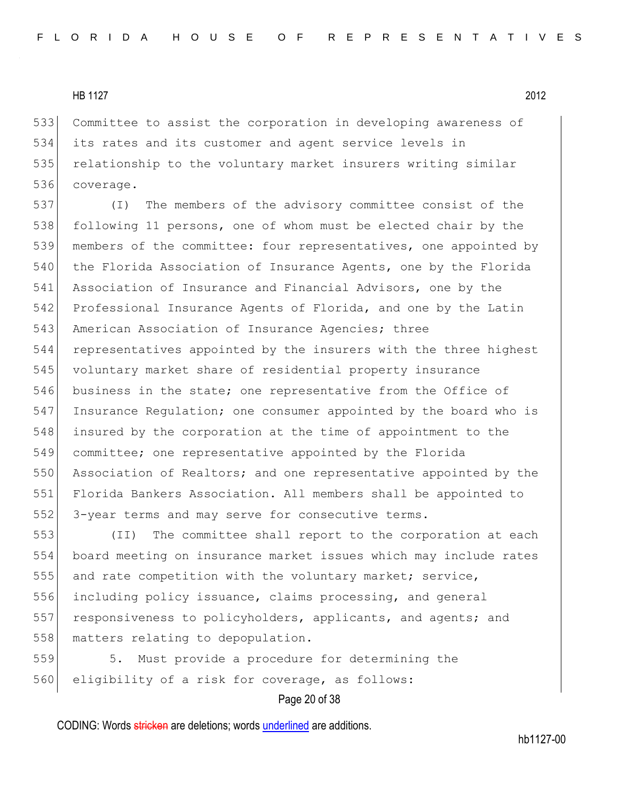Committee to assist the corporation in developing awareness of its rates and its customer and agent service levels in 535 relationship to the voluntary market insurers writing similar coverage.

 (I) The members of the advisory committee consist of the following 11 persons, one of whom must be elected chair by the members of the committee: four representatives, one appointed by 540 the Florida Association of Insurance Agents, one by the Florida Association of Insurance and Financial Advisors, one by the Professional Insurance Agents of Florida, and one by the Latin 543 American Association of Insurance Agencies; three representatives appointed by the insurers with the three highest voluntary market share of residential property insurance 546 business in the state; one representative from the Office of Insurance Regulation; one consumer appointed by the board who is insured by the corporation at the time of appointment to the committee; one representative appointed by the Florida 550 Association of Realtors; and one representative appointed by the Florida Bankers Association. All members shall be appointed to 552 3-year terms and may serve for consecutive terms.

553 (II) The committee shall report to the corporation at each 554 board meeting on insurance market issues which may include rates 555 and rate competition with the voluntary market; service, 556 including policy issuance, claims processing, and general 557 responsiveness to policyholders, applicants, and agents; and 558 matters relating to depopulation.

559 5. Must provide a procedure for determining the 560 eligibility of a risk for coverage, as follows:

Page 20 of 38

CODING: Words stricken are deletions; words underlined are additions.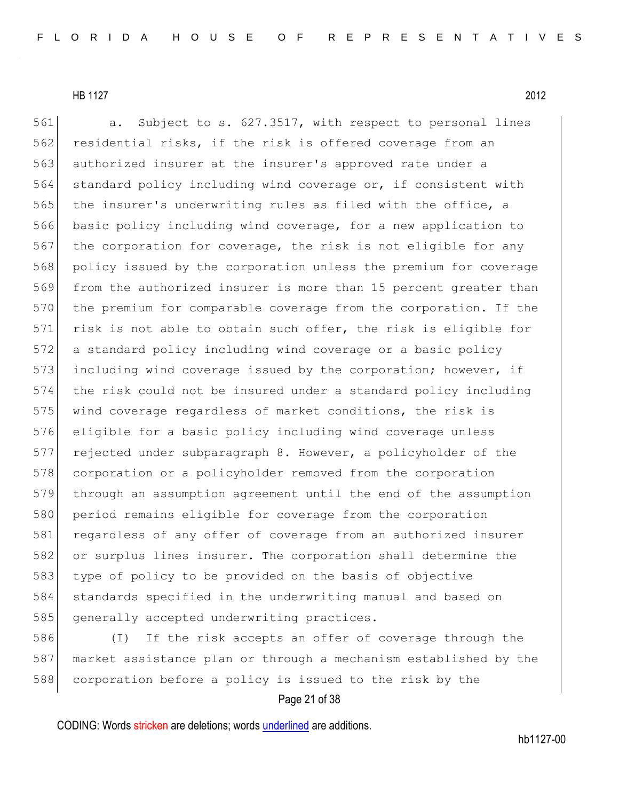561 a. Subject to s. 627.3517, with respect to personal lines 562 residential risks, if the risk is offered coverage from an 563 authorized insurer at the insurer's approved rate under a 564 standard policy including wind coverage or, if consistent with 565 the insurer's underwriting rules as filed with the office, a 566 basic policy including wind coverage, for a new application to 567 the corporation for coverage, the risk is not eligible for any 568 policy issued by the corporation unless the premium for coverage 569 from the authorized insurer is more than 15 percent greater than 570 the premium for comparable coverage from the corporation. If the 571 risk is not able to obtain such offer, the risk is eligible for 572 a standard policy including wind coverage or a basic policy 573 including wind coverage issued by the corporation; however, if 574 the risk could not be insured under a standard policy including 575 wind coverage regardless of market conditions, the risk is 576 eligible for a basic policy including wind coverage unless 577 rejected under subparagraph 8. However, a policyholder of the 578 corporation or a policyholder removed from the corporation 579 through an assumption agreement until the end of the assumption 580 period remains eligible for coverage from the corporation 581 regardless of any offer of coverage from an authorized insurer 582 or surplus lines insurer. The corporation shall determine the 583 type of policy to be provided on the basis of objective 584 standards specified in the underwriting manual and based on 585 generally accepted underwriting practices.

586 (I) If the risk accepts an offer of coverage through the 587 market assistance plan or through a mechanism established by the 588 corporation before a policy is issued to the risk by the

## Page 21 of 38

CODING: Words stricken are deletions; words underlined are additions.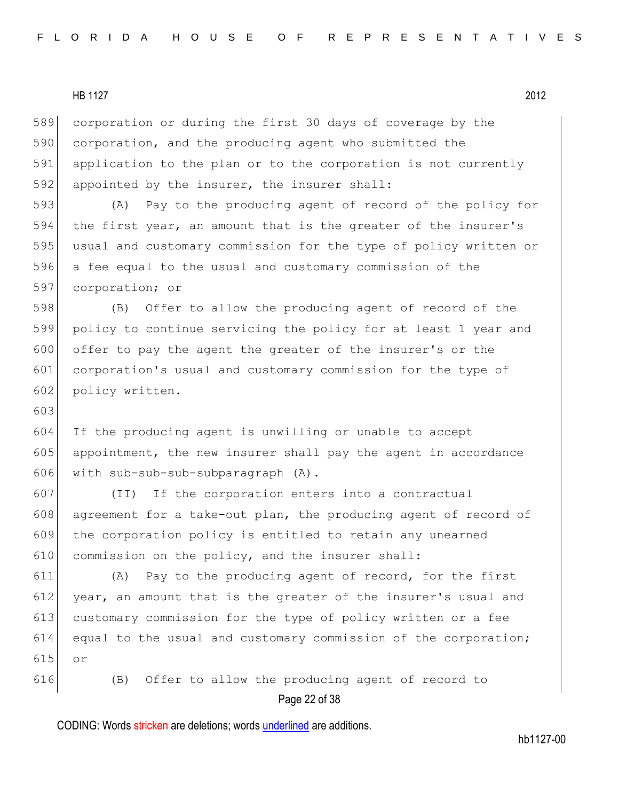603

589 corporation or during the first 30 days of coverage by the 590 corporation, and the producing agent who submitted the 591 application to the plan or to the corporation is not currently 592 appointed by the insurer, the insurer shall: 593 (A) Pay to the producing agent of record of the policy for

 the first year, an amount that is the greater of the insurer's usual and customary commission for the type of policy written or a fee equal to the usual and customary commission of the corporation; or

 (B) Offer to allow the producing agent of record of the policy to continue servicing the policy for at least 1 year and offer to pay the agent the greater of the insurer's or the corporation's usual and customary commission for the type of 602 policy written.

604 If the producing agent is unwilling or unable to accept 605 appointment, the new insurer shall pay the agent in accordance 606 with sub-sub-sub-subparagraph (A).

607 (II) If the corporation enters into a contractual 608 agreement for a take-out plan, the producing agent of record of 609 the corporation policy is entitled to retain any unearned 610 commission on the policy, and the insurer shall:

611 (A) Pay to the producing agent of record, for the first 612 year, an amount that is the greater of the insurer's usual and 613 customary commission for the type of policy written or a fee 614 equal to the usual and customary commission of the corporation; 615 or

Page 22 of 38 616 (B) Offer to allow the producing agent of record to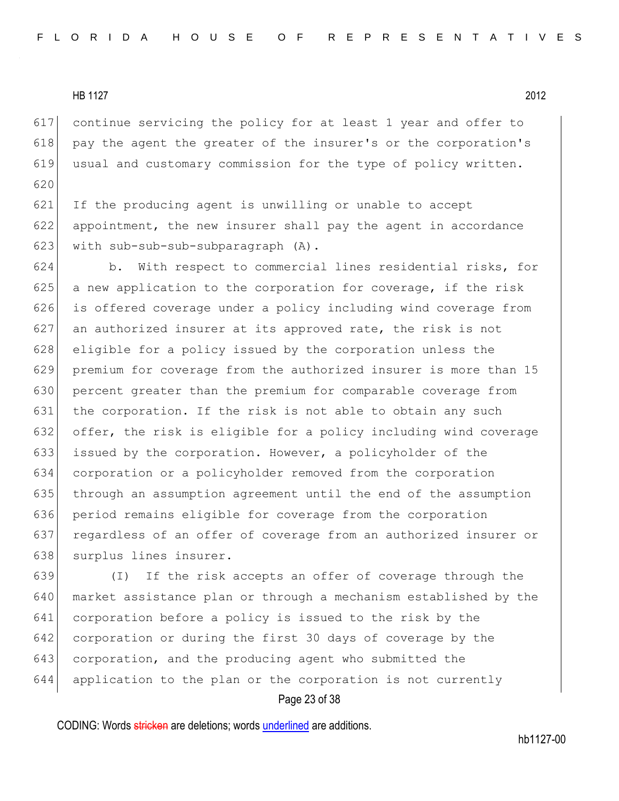continue servicing the policy for at least 1 year and offer to 618 pay the agent the greater of the insurer's or the corporation's usual and customary commission for the type of policy written. 

 If the producing agent is unwilling or unable to accept appointment, the new insurer shall pay the agent in accordance 623 with sub-sub-sub-subparagraph (A).

 b. With respect to commercial lines residential risks, for a new application to the corporation for coverage, if the risk 626 is offered coverage under a policy including wind coverage from an authorized insurer at its approved rate, the risk is not 628 eligible for a policy issued by the corporation unless the premium for coverage from the authorized insurer is more than 15 percent greater than the premium for comparable coverage from 631 the corporation. If the risk is not able to obtain any such offer, the risk is eligible for a policy including wind coverage issued by the corporation. However, a policyholder of the corporation or a policyholder removed from the corporation through an assumption agreement until the end of the assumption period remains eligible for coverage from the corporation regardless of an offer of coverage from an authorized insurer or 638 surplus lines insurer.

 (I) If the risk accepts an offer of coverage through the market assistance plan or through a mechanism established by the corporation before a policy is issued to the risk by the corporation or during the first 30 days of coverage by the 643 corporation, and the producing agent who submitted the application to the plan or the corporation is not currently

#### Page 23 of 38

CODING: Words stricken are deletions; words underlined are additions.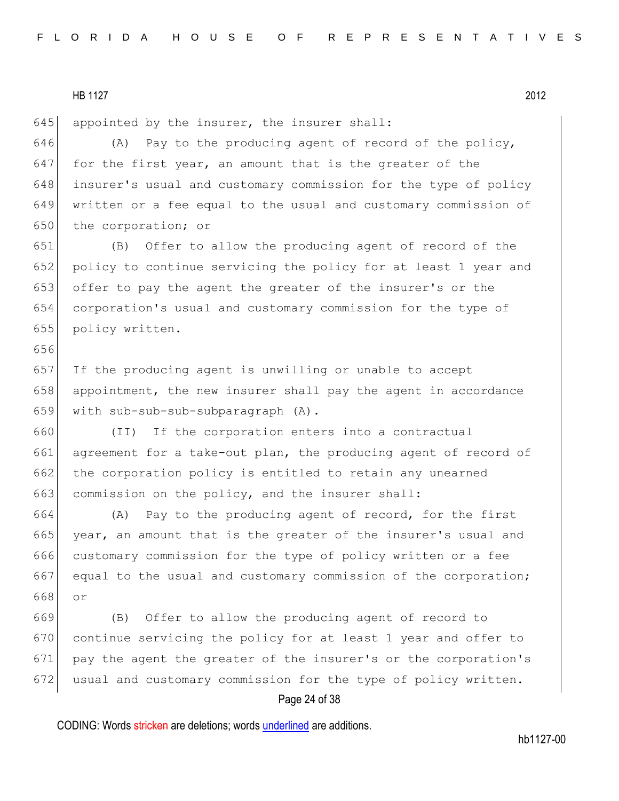656

645 appointed by the insurer, the insurer shall:

646 (A) Pay to the producing agent of record of the policy,  $647$  for the first year, an amount that is the greater of the 648 insurer's usual and customary commission for the type of policy 649 written or a fee equal to the usual and customary commission of 650 the corporation; or

 (B) Offer to allow the producing agent of record of the 652 policy to continue servicing the policy for at least 1 year and offer to pay the agent the greater of the insurer's or the corporation's usual and customary commission for the type of policy written.

657 If the producing agent is unwilling or unable to accept 658 appointment, the new insurer shall pay the agent in accordance 659 with sub-sub-sub-subparagraph (A).

660 (II) If the corporation enters into a contractual 661 agreement for a take-out plan, the producing agent of record of 662 the corporation policy is entitled to retain any unearned 663 commission on the policy, and the insurer shall:

664 (A) Pay to the producing agent of record, for the first 665 year, an amount that is the greater of the insurer's usual and 666 customary commission for the type of policy written or a fee 667 equal to the usual and customary commission of the corporation; 668 or

 (B) Offer to allow the producing agent of record to continue servicing the policy for at least 1 year and offer to pay the agent the greater of the insurer's or the corporation's 672 usual and customary commission for the type of policy written.

#### Page 24 of 38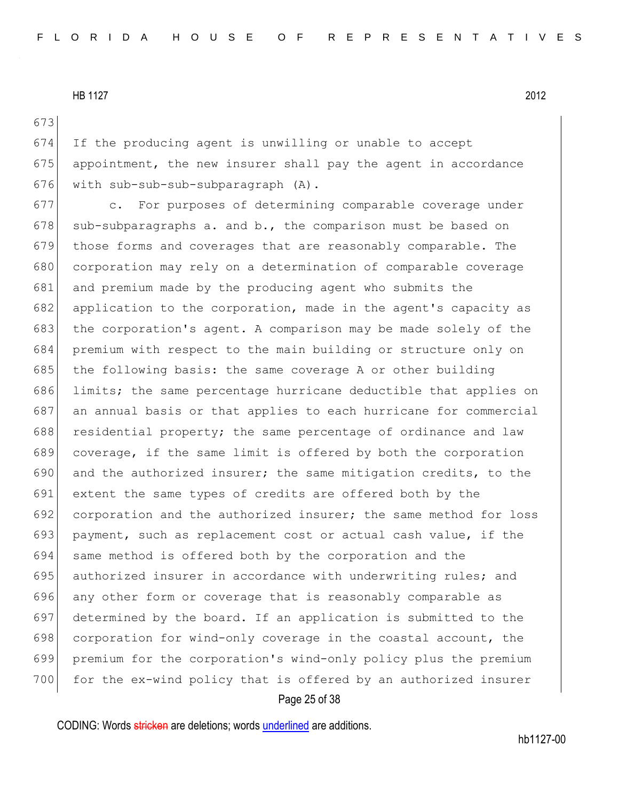673

674 If the producing agent is unwilling or unable to accept 675 appointment, the new insurer shall pay the agent in accordance 676 with sub-sub-sub-subparagraph (A).

 c. For purposes of determining comparable coverage under 678 sub-subparagraphs a. and b., the comparison must be based on those forms and coverages that are reasonably comparable. The 680 corporation may rely on a determination of comparable coverage and premium made by the producing agent who submits the application to the corporation, made in the agent's capacity as 683 the corporation's agent. A comparison may be made solely of the premium with respect to the main building or structure only on 685 the following basis: the same coverage A or other building limits; the same percentage hurricane deductible that applies on an annual basis or that applies to each hurricane for commercial 688 residential property; the same percentage of ordinance and law coverage, if the same limit is offered by both the corporation and the authorized insurer; the same mitigation credits, to the extent the same types of credits are offered both by the corporation and the authorized insurer; the same method for loss payment, such as replacement cost or actual cash value, if the 694 same method is offered both by the corporation and the 695 authorized insurer in accordance with underwriting rules; and any other form or coverage that is reasonably comparable as determined by the board. If an application is submitted to the 698 corporation for wind-only coverage in the coastal account, the premium for the corporation's wind-only policy plus the premium 700 for the ex-wind policy that is offered by an authorized insurer

#### Page 25 of 38

CODING: Words stricken are deletions; words underlined are additions.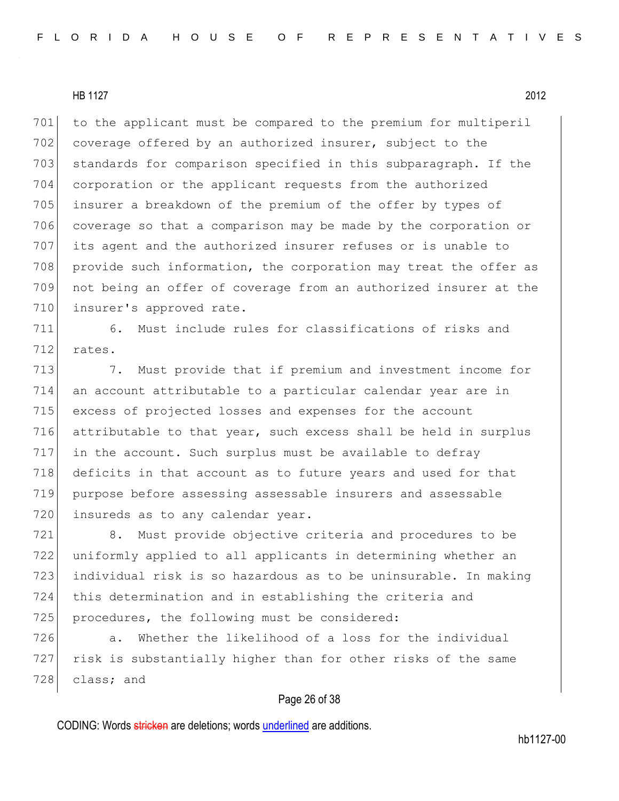701 to the applicant must be compared to the premium for multiperil 702 coverage offered by an authorized insurer, subject to the 703 standards for comparison specified in this subparagraph. If the 704 corporation or the applicant requests from the authorized 705 insurer a breakdown of the premium of the offer by types of 706 coverage so that a comparison may be made by the corporation or 707 its agent and the authorized insurer refuses or is unable to 708 provide such information, the corporation may treat the offer as 709 not being an offer of coverage from an authorized insurer at the 710 insurer's approved rate.

711 6. Must include rules for classifications of risks and 712 rates.

713 713 7. Must provide that if premium and investment income for 714 an account attributable to a particular calendar year are in 715 excess of projected losses and expenses for the account 716 attributable to that year, such excess shall be held in surplus 717 in the account. Such surplus must be available to defray 718 deficits in that account as to future years and used for that 719 purpose before assessing assessable insurers and assessable 720 insureds as to any calendar year.

 8. Must provide objective criteria and procedures to be uniformly applied to all applicants in determining whether an individual risk is so hazardous as to be uninsurable. In making this determination and in establishing the criteria and 725 procedures, the following must be considered:

726 a. Whether the likelihood of a loss for the individual 727 risk is substantially higher than for other risks of the same 728 class; and

#### Page 26 of 38

CODING: Words stricken are deletions; words underlined are additions.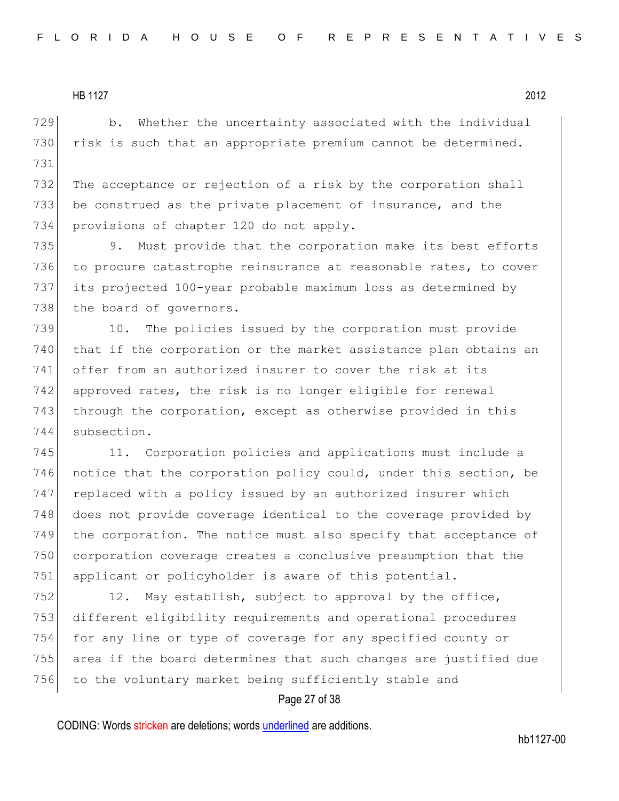729 b. Whether the uncertainty associated with the individual 730 risk is such that an appropriate premium cannot be determined. 731

732 The acceptance or rejection of a risk by the corporation shall 733 be construed as the private placement of insurance, and the 734 provisions of chapter 120 do not apply.

735 9. Must provide that the corporation make its best efforts 736 to procure catastrophe reinsurance at reasonable rates, to cover 737 its projected 100-year probable maximum loss as determined by 738 the board of governors.

739 10. The policies issued by the corporation must provide that if the corporation or the market assistance plan obtains an offer from an authorized insurer to cover the risk at its approved rates, the risk is no longer eligible for renewal 743 through the corporation, except as otherwise provided in this subsection.

745 11. Corporation policies and applications must include a 746 notice that the corporation policy could, under this section, be 747 replaced with a policy issued by an authorized insurer which 748 does not provide coverage identical to the coverage provided by 749 the corporation. The notice must also specify that acceptance of 750 corporation coverage creates a conclusive presumption that the 751 applicant or policyholder is aware of this potential.

752 12. May establish, subject to approval by the office, 753 different eligibility requirements and operational procedures 754 for any line or type of coverage for any specified county or 755 area if the board determines that such changes are justified due 756 to the voluntary market being sufficiently stable and

## Page 27 of 38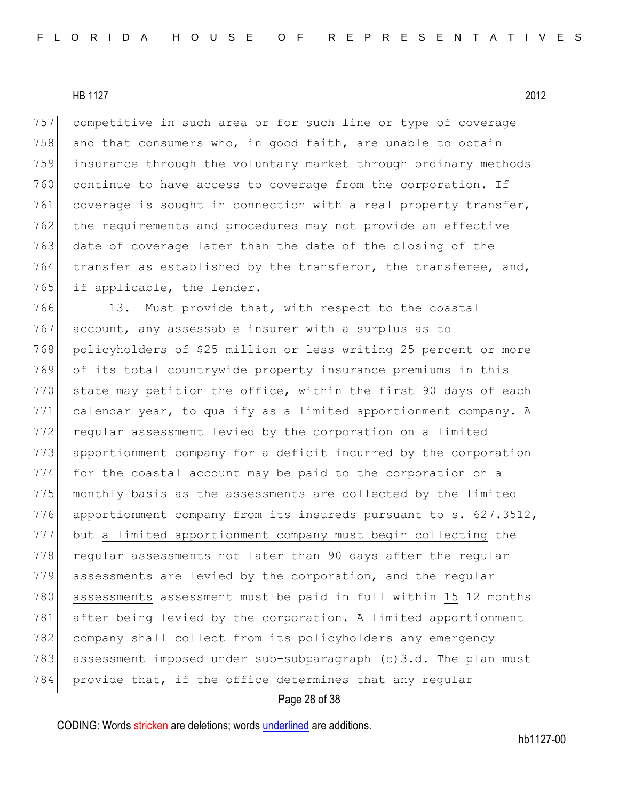competitive in such area or for such line or type of coverage 758 and that consumers who, in good faith, are unable to obtain insurance through the voluntary market through ordinary methods continue to have access to coverage from the corporation. If 761 coverage is sought in connection with a real property transfer, the requirements and procedures may not provide an effective date of coverage later than the date of the closing of the  $\vert$  transfer as established by the transferor, the transferee, and, 765 if applicable, the lender.

766 13. Must provide that, with respect to the coastal 767 account, any assessable insurer with a surplus as to 768 policyholders of \$25 million or less writing 25 percent or more 769 of its total countrywide property insurance premiums in this  $770$  state may petition the office, within the first 90 days of each 771 calendar year, to qualify as a limited apportionment company. A 772 regular assessment levied by the corporation on a limited 773 apportionment company for a deficit incurred by the corporation 774 for the coastal account may be paid to the corporation on a 775 monthly basis as the assessments are collected by the limited 776 apportionment company from its insureds pursuant to s. 627.3512, 777 but a limited apportionment company must begin collecting the 778 regular assessments not later than 90 days after the regular 779 assessments are levied by the corporation, and the regular 780 assessments assessment must be paid in full within 15 42 months 781 after being levied by the corporation. A limited apportionment 782 company shall collect from its policyholders any emergency 783 assessment imposed under sub-subparagraph (b)3.d. The plan must 784 provide that, if the office determines that any regular

#### Page 28 of 38

CODING: Words stricken are deletions; words underlined are additions.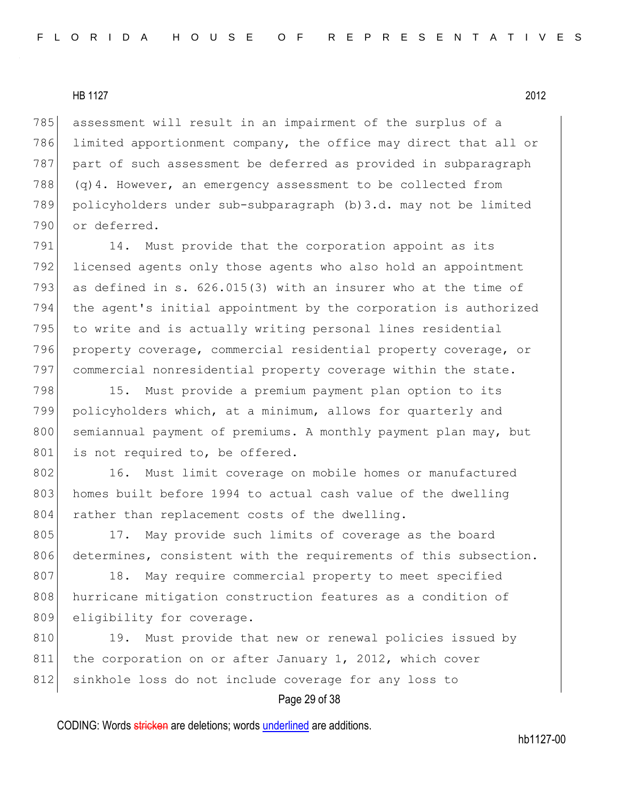785 assessment will result in an impairment of the surplus of a 786 limited apportionment company, the office may direct that all or 787 part of such assessment be deferred as provided in subparagraph 788 (q)4. However, an emergency assessment to be collected from 789 policyholders under sub-subparagraph (b)3.d. may not be limited 790 or deferred.

791 14. Must provide that the corporation appoint as its 792 licensed agents only those agents who also hold an appointment 793 as defined in s. 626.015(3) with an insurer who at the time of 794 the agent's initial appointment by the corporation is authorized 795 to write and is actually writing personal lines residential 796 property coverage, commercial residential property coverage, or 797 commercial nonresidential property coverage within the state.

798 15. Must provide a premium payment plan option to its 799 policyholders which, at a minimum, allows for quarterly and 800 semiannual payment of premiums. A monthly payment plan may, but 801 is not required to, be offered.

802 16. Must limit coverage on mobile homes or manufactured 803 homes built before 1994 to actual cash value of the dwelling 804 rather than replacement costs of the dwelling.

805 17. May provide such limits of coverage as the board 806 determines, consistent with the requirements of this subsection.

807 18. May require commercial property to meet specified 808 hurricane mitigation construction features as a condition of 809 eligibility for coverage.

810 19. Must provide that new or renewal policies issued by 811 the corporation on or after January 1, 2012, which cover 812 sinkhole loss do not include coverage for any loss to

#### Page 29 of 38

CODING: Words stricken are deletions; words underlined are additions.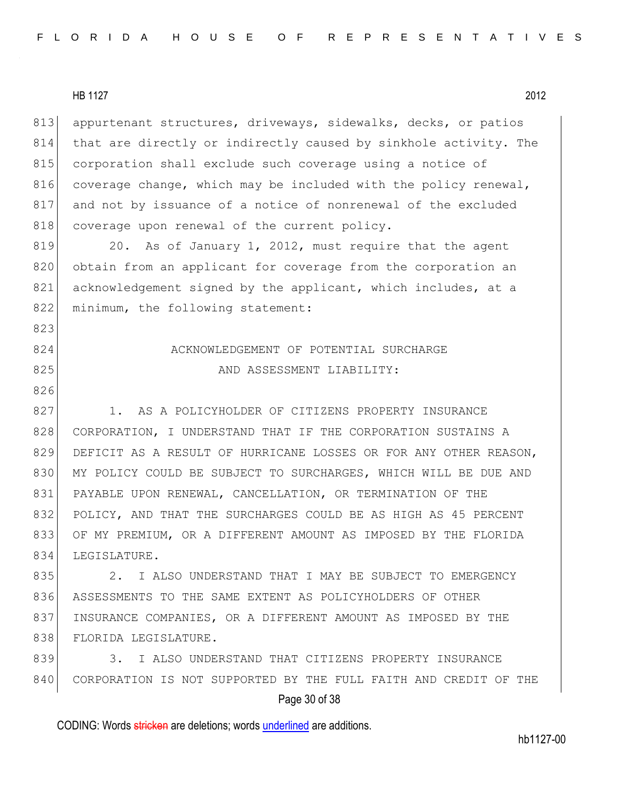|--|

823

826

813 appurtenant structures, driveways, sidewalks, decks, or patios 814 that are directly or indirectly caused by sinkhole activity. The 815 corporation shall exclude such coverage using a notice of 816 coverage change, which may be included with the policy renewal, 817 and not by issuance of a notice of nonrenewal of the excluded 818 coverage upon renewal of the current policy.

819 20. As of January 1, 2012, must require that the agent 820 obtain from an applicant for coverage from the corporation an 821 acknowledgement signed by the applicant, which includes, at a 822 minimum, the following statement:

## 824 ACKNOWLEDGEMENT OF POTENTIAL SURCHARGE 825 AND ASSESSMENT LIABILITY:

827 1. AS A POLICYHOLDER OF CITIZENS PROPERTY INSURANCE 828 CORPORATION, I UNDERSTAND THAT IF THE CORPORATION SUSTAINS A 829 DEFICIT AS A RESULT OF HURRICANE LOSSES OR FOR ANY OTHER REASON, 830 MY POLICY COULD BE SUBJECT TO SURCHARGES, WHICH WILL BE DUE AND 831 PAYABLE UPON RENEWAL, CANCELLATION, OR TERMINATION OF THE 832 POLICY, AND THAT THE SURCHARGES COULD BE AS HIGH AS 45 PERCENT 833 OF MY PREMIUM, OR A DIFFERENT AMOUNT AS IMPOSED BY THE FLORIDA 834 LEGISLATURE.

835 2. I ALSO UNDERSTAND THAT I MAY BE SUBJECT TO EMERGENCY 836 ASSESSMENTS TO THE SAME EXTENT AS POLICYHOLDERS OF OTHER 837 INSURANCE COMPANIES, OR A DIFFERENT AMOUNT AS IMPOSED BY THE 838 FLORIDA LEGISLATURE.

839 3. I ALSO UNDERSTAND THAT CITIZENS PROPERTY INSURANCE 840 CORPORATION IS NOT SUPPORTED BY THE FULL FAITH AND CREDIT OF THE

## Page 30 of 38

CODING: Words stricken are deletions; words underlined are additions.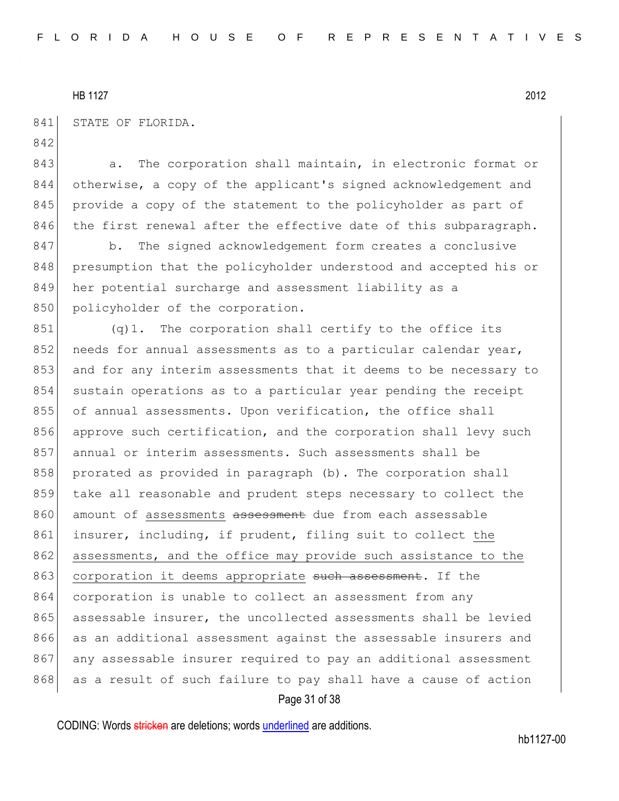842

841 STATE OF FLORIDA.

843 a. The corporation shall maintain, in electronic format or 844 otherwise, a copy of the applicant's signed acknowledgement and 845 provide a copy of the statement to the policyholder as part of 846 the first renewal after the effective date of this subparagraph.

847 b. The signed acknowledgement form creates a conclusive 848 presumption that the policyholder understood and accepted his or 849 her potential surcharge and assessment liability as a 850 policyholder of the corporation.

851 (q)1. The corporation shall certify to the office its 852 needs for annual assessments as to a particular calendar year, 853 and for any interim assessments that it deems to be necessary to 854 sustain operations as to a particular year pending the receipt 855 of annual assessments. Upon verification, the office shall 856 approve such certification, and the corporation shall levy such 857 annual or interim assessments. Such assessments shall be 858 prorated as provided in paragraph (b). The corporation shall 859 take all reasonable and prudent steps necessary to collect the 860 amount of assessments assessment due from each assessable 861 insurer, including, if prudent, filing suit to collect the 862 assessments, and the office may provide such assistance to the 863 corporation it deems appropriate such assessment. If the 864 corporation is unable to collect an assessment from any 865 assessable insurer, the uncollected assessments shall be levied 866 as an additional assessment against the assessable insurers and 867 any assessable insurer required to pay an additional assessment 868 as a result of such failure to pay shall have a cause of action

Page 31 of 38

CODING: Words stricken are deletions; words underlined are additions.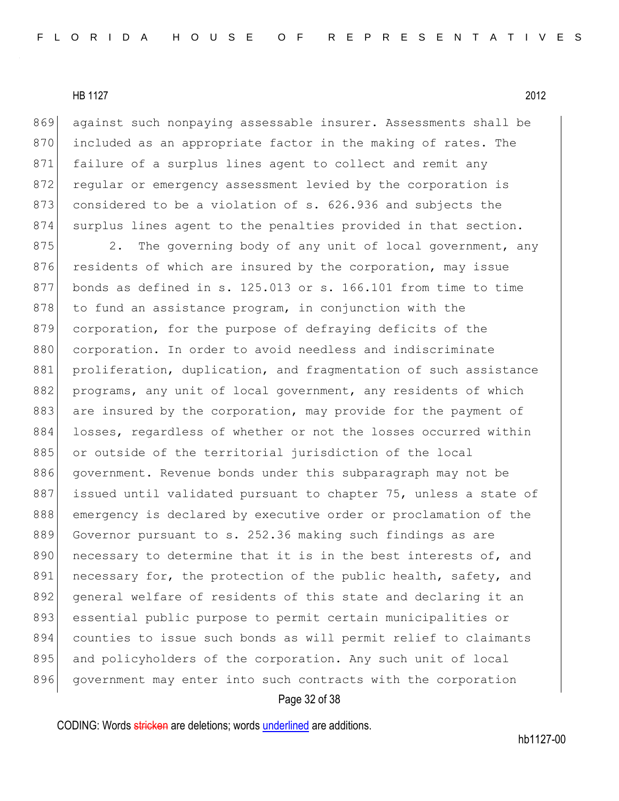869 against such nonpaying assessable insurer. Assessments shall be 870 included as an appropriate factor in the making of rates. The 871 failure of a surplus lines agent to collect and remit any 872 regular or emergency assessment levied by the corporation is 873 considered to be a violation of s. 626.936 and subjects the 874 surplus lines agent to the penalties provided in that section.

875 2. The governing body of any unit of local government, any 876 residents of which are insured by the corporation, may issue 877 bonds as defined in s. 125.013 or s. 166.101 from time to time  $878$  to fund an assistance program, in conjunction with the 879 corporation, for the purpose of defraying deficits of the 880 corporation. In order to avoid needless and indiscriminate 881 | proliferation, duplication, and fragmentation of such assistance 882 programs, any unit of local government, any residents of which 883 are insured by the corporation, may provide for the payment of 884 losses, regardless of whether or not the losses occurred within 885 or outside of the territorial jurisdiction of the local 886 government. Revenue bonds under this subparagraph may not be 887 issued until validated pursuant to chapter 75, unless a state of 888 emergency is declared by executive order or proclamation of the 889 Governor pursuant to s. 252.36 making such findings as are 890 necessary to determine that it is in the best interests of, and 891 necessary for, the protection of the public health, safety, and 892 general welfare of residents of this state and declaring it an 893 essential public purpose to permit certain municipalities or 894 counties to issue such bonds as will permit relief to claimants 895 and policyholders of the corporation. Any such unit of local 896 government may enter into such contracts with the corporation

#### Page 32 of 38

CODING: Words stricken are deletions; words underlined are additions.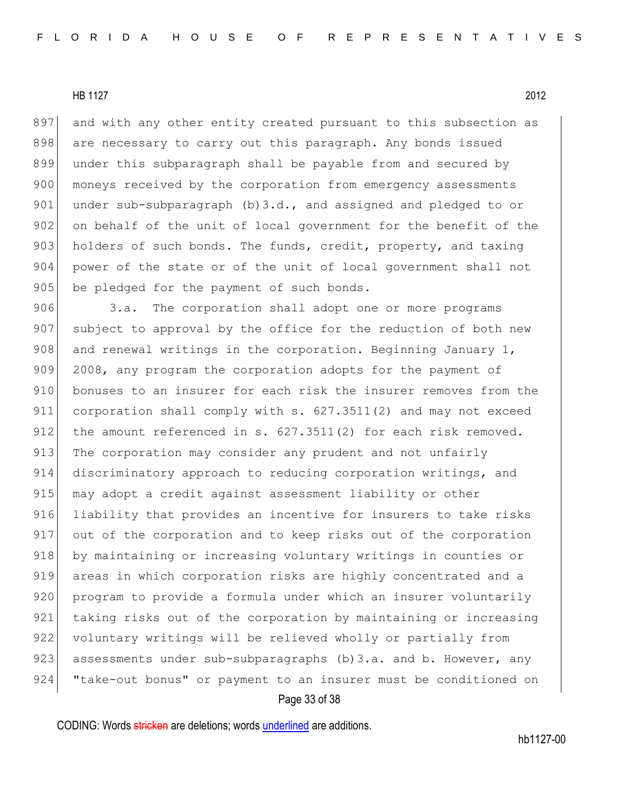897 and with any other entity created pursuant to this subsection as 898 are necessary to carry out this paragraph. Any bonds issued 899 under this subparagraph shall be payable from and secured by 900 moneys received by the corporation from emergency assessments 901 under sub-subparagraph  $(b)$ 3.d., and assigned and pledged to or 902 on behalf of the unit of local government for the benefit of the 903 holders of such bonds. The funds, credit, property, and taxing 904 power of the state or of the unit of local government shall not 905 be pledged for the payment of such bonds.

906 3.a. The corporation shall adopt one or more programs 907 subject to approval by the office for the reduction of both new 908 and renewal writings in the corporation. Beginning January 1, 909 2008, any program the corporation adopts for the payment of 910 bonuses to an insurer for each risk the insurer removes from the 911 corporation shall comply with s. 627.3511(2) and may not exceed 912 the amount referenced in s. 627.3511(2) for each risk removed. 913 The corporation may consider any prudent and not unfairly 914 discriminatory approach to reducing corporation writings, and 915 may adopt a credit against assessment liability or other 916 liability that provides an incentive for insurers to take risks 917 out of the corporation and to keep risks out of the corporation 918 by maintaining or increasing voluntary writings in counties or 919 areas in which corporation risks are highly concentrated and a 920 program to provide a formula under which an insurer voluntarily 921 taking risks out of the corporation by maintaining or increasing 922 voluntary writings will be relieved wholly or partially from 923 assessments under sub-subparagraphs  $(b)$ 3.a. and b. However, any 924 "take-out bonus" or payment to an insurer must be conditioned on

#### Page 33 of 38

CODING: Words stricken are deletions; words underlined are additions.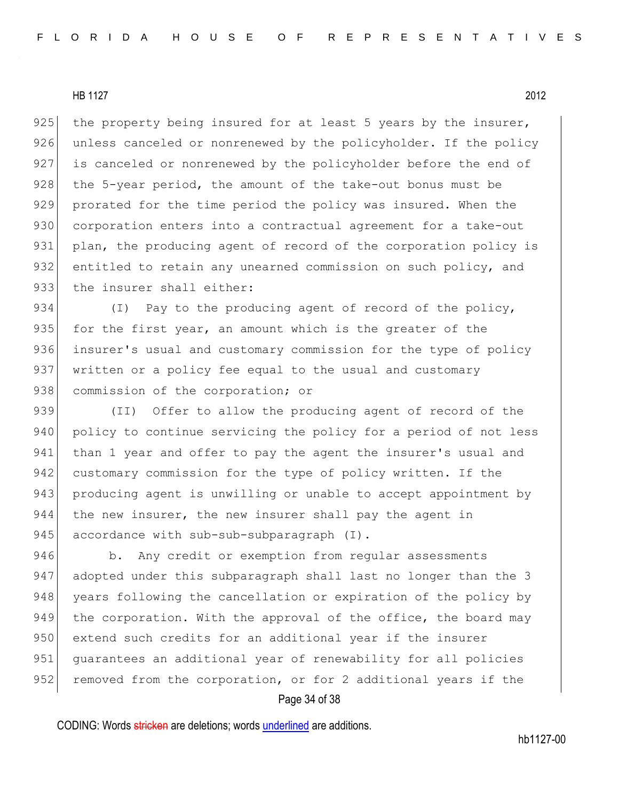925 the property being insured for at least 5 years by the insurer, 926 unless canceled or nonrenewed by the policyholder. If the policy 927 is canceled or nonrenewed by the policyholder before the end of 928 the 5-year period, the amount of the take-out bonus must be 929 prorated for the time period the policy was insured. When the 930 corporation enters into a contractual agreement for a take-out 931 plan, the producing agent of record of the corporation policy is 932 entitled to retain any unearned commission on such policy, and 933 the insurer shall either:

934 (I) Pay to the producing agent of record of the policy, 935 for the first year, an amount which is the greater of the 936 insurer's usual and customary commission for the type of policy 937 written or a policy fee equal to the usual and customary 938 commission of the corporation; or

939 (II) Offer to allow the producing agent of record of the 940 policy to continue servicing the policy for a period of not less 941 than 1 year and offer to pay the agent the insurer's usual and 942 customary commission for the type of policy written. If the 943 producing agent is unwilling or unable to accept appointment by 944 the new insurer, the new insurer shall pay the agent in 945 accordance with sub-sub-subparagraph (I).

946 b. Any credit or exemption from regular assessments 947 adopted under this subparagraph shall last no longer than the 3 948 years following the cancellation or expiration of the policy by 949 | the corporation. With the approval of the office, the board may 950 extend such credits for an additional year if the insurer 951 guarantees an additional year of renewability for all policies 952 removed from the corporation, or for 2 additional years if the

#### Page 34 of 38

CODING: Words stricken are deletions; words underlined are additions.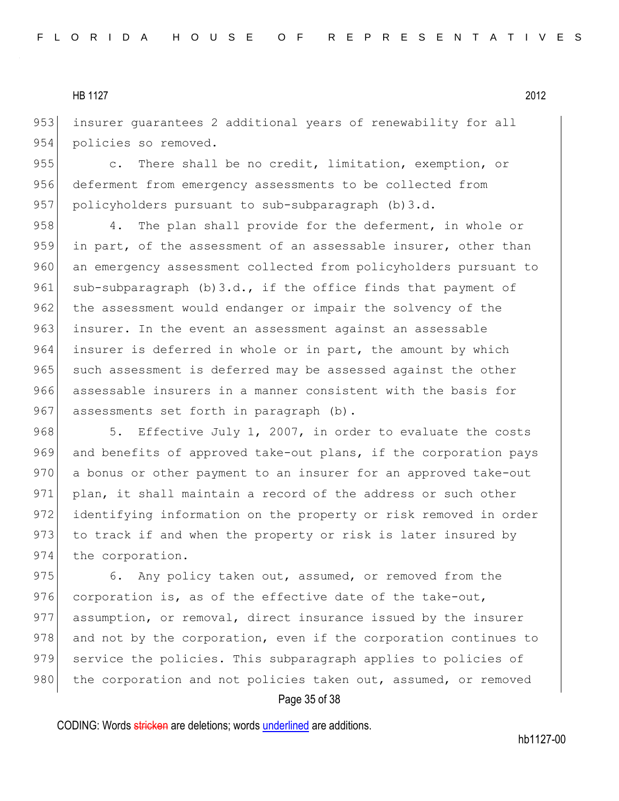953 insurer quarantees 2 additional years of renewability for all 954 policies so removed.

955 c. There shall be no credit, limitation, exemption, or 956 deferment from emergency assessments to be collected from 957 policyholders pursuant to sub-subparagraph (b) 3.d.

958 4. The plan shall provide for the deferment, in whole or 959 in part, of the assessment of an assessable insurer, other than 960 an emergency assessment collected from policyholders pursuant to 961 sub-subparagraph  $(b)$ 3.d., if the office finds that payment of 962 the assessment would endanger or impair the solvency of the 963 insurer. In the event an assessment against an assessable 964 insurer is deferred in whole or in part, the amount by which 965 such assessment is deferred may be assessed against the other 966 assessable insurers in a manner consistent with the basis for 967 assessments set forth in paragraph (b).

968 5. Effective July 1, 2007, in order to evaluate the costs 969 and benefits of approved take-out plans, if the corporation pays 970 a bonus or other payment to an insurer for an approved take-out 971 plan, it shall maintain a record of the address or such other 972 identifying information on the property or risk removed in order 973 to track if and when the property or risk is later insured by 974 the corporation.

975 6. Any policy taken out, assumed, or removed from the 976 corporation is, as of the effective date of the take-out, 977 assumption, or removal, direct insurance issued by the insurer 978 and not by the corporation, even if the corporation continues to 979 service the policies. This subparagraph applies to policies of 980 the corporation and not policies taken out, assumed, or removed

## Page 35 of 38

CODING: Words stricken are deletions; words underlined are additions.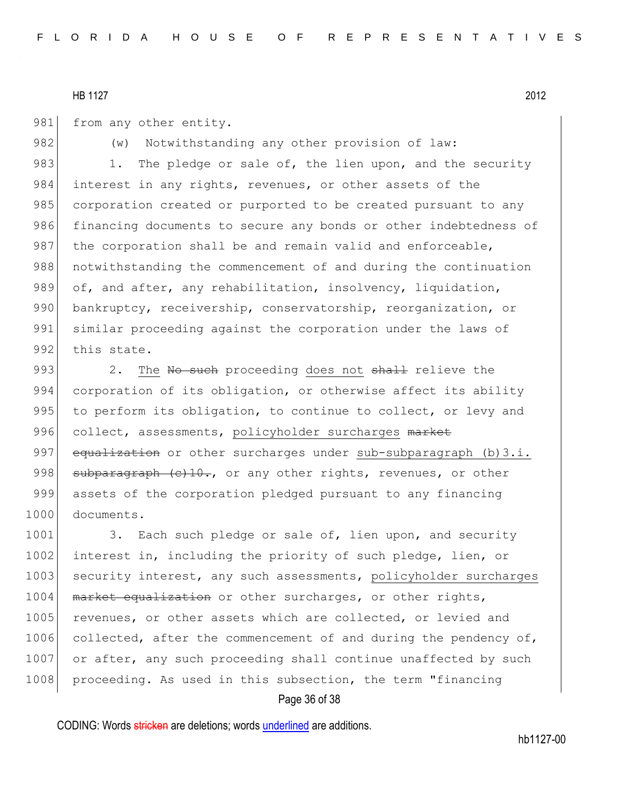981 from any other entity.

982 (w) Notwithstanding any other provision of law: 983 1. The pledge or sale of, the lien upon, and the security 984 interest in any rights, revenues, or other assets of the 985 corporation created or purported to be created pursuant to any 986 financing documents to secure any bonds or other indebtedness of 987 the corporation shall be and remain valid and enforceable, 988 | notwithstanding the commencement of and during the continuation 989 of, and after, any rehabilitation, insolvency, liquidation, 990 bankruptcy, receivership, conservatorship, reorganization, or 991 similar proceeding against the corporation under the laws of 992 this state.

993 2. The No such proceeding does not shall relieve the 994 corporation of its obligation, or otherwise affect its ability 995 to perform its obligation, to continue to collect, or levy and 996 collect, assessments, policyholder surcharges market 997 equalization or other surcharges under sub-subparagraph (b)  $3.i.$ 998  $\vert$  subparagraph  $(c)$ 10., or any other rights, revenues, or other 999 assets of the corporation pledged pursuant to any financing 1000 documents.

1001 3. Each such pledge or sale of, lien upon, and security 1002 interest in, including the priority of such pledge, lien, or 1003 security interest, any such assessments, policyholder surcharges 1004 | market equalization or other surcharges, or other rights, 1005 revenues, or other assets which are collected, or levied and 1006 collected, after the commencement of and during the pendency of, 1007 or after, any such proceeding shall continue unaffected by such 1008 proceeding. As used in this subsection, the term "financing"

## Page 36 of 38

CODING: Words stricken are deletions; words underlined are additions.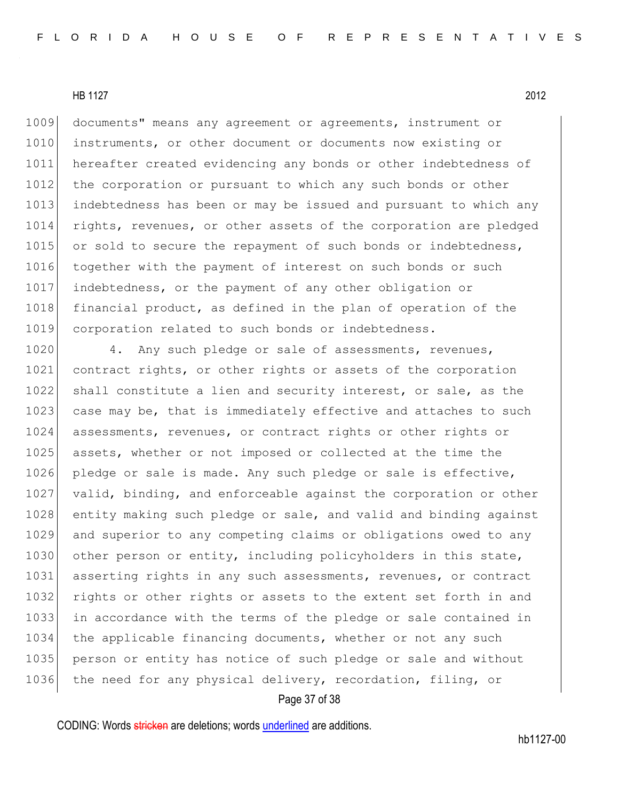1009 documents" means any agreement or agreements, instrument or 1010 instruments, or other document or documents now existing or 1011 hereafter created evidencing any bonds or other indebtedness of 1012 the corporation or pursuant to which any such bonds or other 1013 indebtedness has been or may be issued and pursuant to which any 1014 rights, revenues, or other assets of the corporation are pledged 1015 or sold to secure the repayment of such bonds or indebtedness, 1016 together with the payment of interest on such bonds or such 1017 indebtedness, or the payment of any other obligation or 1018 financial product, as defined in the plan of operation of the 1019 corporation related to such bonds or indebtedness.

1020 4. Any such pledge or sale of assessments, revenues, 1021 contract rights, or other rights or assets of the corporation 1022 shall constitute a lien and security interest, or sale, as the 1023 case may be, that is immediately effective and attaches to such 1024 assessments, revenues, or contract rights or other rights or 1025 assets, whether or not imposed or collected at the time the 1026 pledge or sale is made. Any such pledge or sale is effective, 1027 valid, binding, and enforceable against the corporation or other 1028 entity making such pledge or sale, and valid and binding against 1029 and superior to any competing claims or obligations owed to any 1030 other person or entity, including policyholders in this state, 1031 asserting rights in any such assessments, revenues, or contract 1032 rights or other rights or assets to the extent set forth in and 1033 in accordance with the terms of the pledge or sale contained in 1034 the applicable financing documents, whether or not any such 1035 person or entity has notice of such pledge or sale and without 1036 the need for any physical delivery, recordation, filing, or

#### Page 37 of 38